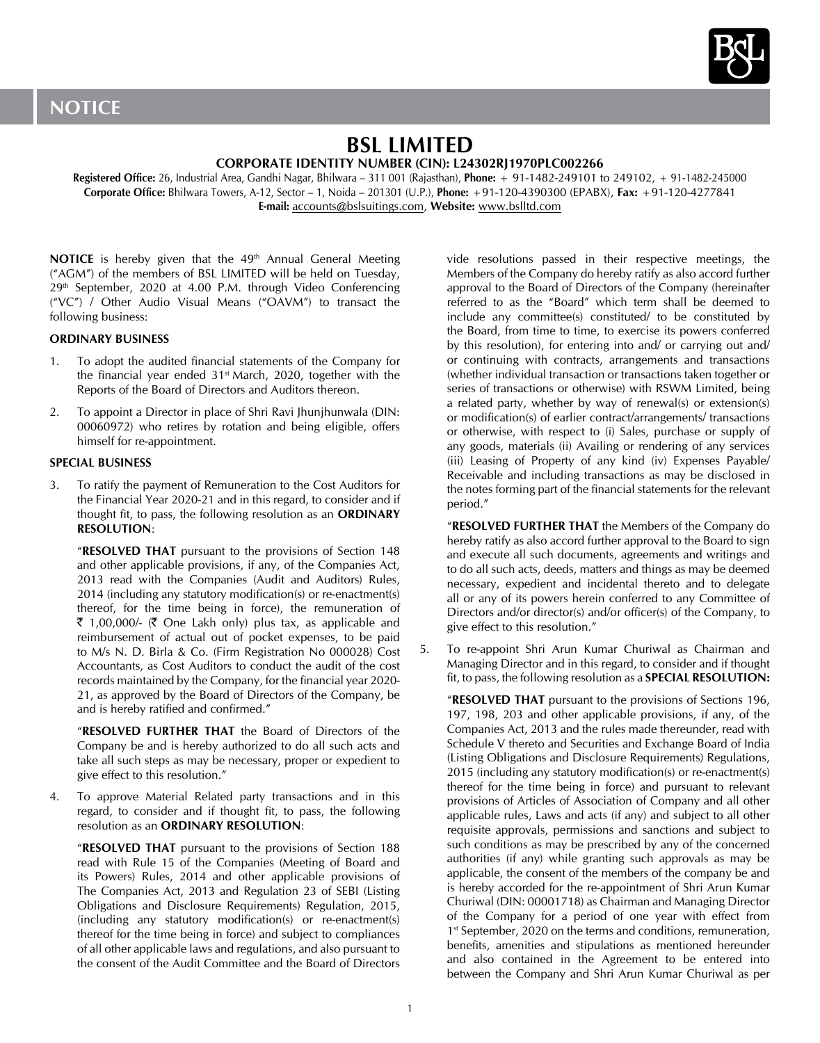# **NOTICE**



# **BSL LIMITED**

## **CORPORATE IDENTITY NUMBER (CIN): L24302RJ1970PLC002266**

**Registered Office:** 26, Industrial Area, Gandhi Nagar, Bhilwara – 311 001 (Rajasthan), **Phone:** + 91-1482-249101 to 249102, + 91-1482-245000 **Corporate Office:** Bhilwara Towers, A-12, Sector – 1, Noida – 201301 (U.P.), **Phone:** +91-120-4390300 (EPABX), **Fax:** +91-120-4277841 **E-mail:** accounts@bslsuitings.com, **Website:** www.bslltd.com

**NOTICE** is hereby given that the 49<sup>th</sup> Annual General Meeting ("AGM") of the members of BSL LIMITED will be held on Tuesday, 29th September, 2020 at 4.00 P.M. through Video Conferencing ("VC") / Other Audio Visual Means ("OAVM") to transact the following business:

## **ORDINARY BUSINESS**

- 1. To adopt the audited financial statements of the Company for the financial year ended  $31<sup>st</sup>$  March, 2020, together with the Reports of the Board of Directors and Auditors thereon.
- 2. To appoint a Director in place of Shri Ravi Jhunjhunwala (DIN: 00060972) who retires by rotation and being eligible, offers himself for re-appointment.

## **SPECIAL BUSINESS**

3. To ratify the payment of Remuneration to the Cost Auditors for the Financial Year 2020-21 and in this regard, to consider and if thought fit, to pass, the following resolution as an **ORDINARY RESOLUTION**:

"**RESOLVED THAT** pursuant to the provisions of Section 148 and other applicable provisions, if any, of the Companies Act, 2013 read with the Companies (Audit and Auditors) Rules, 2014 (including any statutory modification(s) or re-enactment(s) thereof, for the time being in force), the remuneration of  $\bar{\tau}$  1,00,000/- ( $\bar{\tau}$  One Lakh only) plus tax, as applicable and reimbursement of actual out of pocket expenses, to be paid to M/s N. D. Birla & Co. (Firm Registration No 000028) Cost Accountants, as Cost Auditors to conduct the audit of the cost records maintained by the Company, for the financial year 2020- 21, as approved by the Board of Directors of the Company, be and is hereby ratified and confirmed."

"**RESOLVED FURTHER THAT** the Board of Directors of the Company be and is hereby authorized to do all such acts and take all such steps as may be necessary, proper or expedient to give effect to this resolution."

4. To approve Material Related party transactions and in this regard, to consider and if thought fit, to pass, the following resolution as an **ORDINARY RESOLUTION**:

"**RESOLVED THAT** pursuant to the provisions of Section 188 read with Rule 15 of the Companies (Meeting of Board and its Powers) Rules, 2014 and other applicable provisions of The Companies Act, 2013 and Regulation 23 of SEBI (Listing Obligations and Disclosure Requirements) Regulation, 2015, (including any statutory modification(s) or re-enactment(s) thereof for the time being in force) and subject to compliances of all other applicable laws and regulations, and also pursuant to the consent of the Audit Committee and the Board of Directors

vide resolutions passed in their respective meetings, the Members of the Company do hereby ratify as also accord further approval to the Board of Directors of the Company (hereinafter referred to as the "Board" which term shall be deemed to include any committee(s) constituted/ to be constituted by the Board, from time to time, to exercise its powers conferred by this resolution), for entering into and/ or carrying out and/ or continuing with contracts, arrangements and transactions (whether individual transaction or transactions taken together or series of transactions or otherwise) with RSWM Limited, being a related party, whether by way of renewal(s) or extension(s) or modification(s) of earlier contract/arrangements/ transactions or otherwise, with respect to (i) Sales, purchase or supply of any goods, materials (ii) Availing or rendering of any services (iii) Leasing of Property of any kind (iv) Expenses Payable/ Receivable and including transactions as may be disclosed in the notes forming part of the financial statements for the relevant period."

"**RESOLVED FURTHER THAT** the Members of the Company do hereby ratify as also accord further approval to the Board to sign and execute all such documents, agreements and writings and to do all such acts, deeds, matters and things as may be deemed necessary, expedient and incidental thereto and to delegate all or any of its powers herein conferred to any Committee of Directors and/or director(s) and/or officer(s) of the Company, to give effect to this resolution."

5. To re-appoint Shri Arun Kumar Churiwal as Chairman and Managing Director and in this regard, to consider and if thought fit, to pass, the following resolution as a **SPECIAL RESOLUTION:**

"**RESOLVED THAT** pursuant to the provisions of Sections 196, 197, 198, 203 and other applicable provisions, if any, of the Companies Act, 2013 and the rules made thereunder, read with Schedule V thereto and Securities and Exchange Board of India (Listing Obligations and Disclosure Requirements) Regulations, 2015 (including any statutory modification(s) or re-enactment(s) thereof for the time being in force) and pursuant to relevant provisions of Articles of Association of Company and all other applicable rules, Laws and acts (if any) and subject to all other requisite approvals, permissions and sanctions and subject to such conditions as may be prescribed by any of the concerned authorities (if any) while granting such approvals as may be applicable, the consent of the members of the company be and is hereby accorded for the re-appointment of Shri Arun Kumar Churiwal (DIN: 00001718) as Chairman and Managing Director of the Company for a period of one year with effect from 1<sup>st</sup> September, 2020 on the terms and conditions, remuneration, benefits, amenities and stipulations as mentioned hereunder and also contained in the Agreement to be entered into between the Company and Shri Arun Kumar Churiwal as per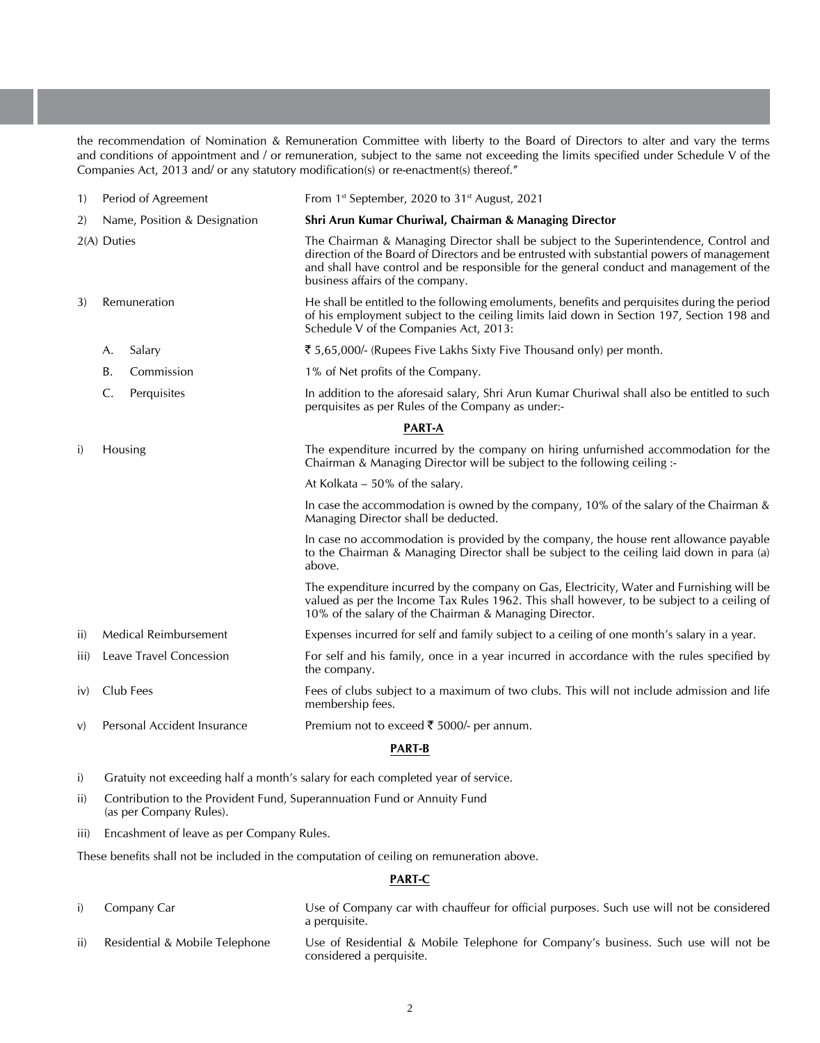the recommendation of Nomination & Remuneration Committee with liberty to the Board of Directors to alter and vary the terms and conditions of appointment and / or remuneration, subject to the same not exceeding the limits specified under Schedule V of the Companies Act, 2013 and/ or any statutory modification(s) or re-enactment(s) thereof."

| 1)                                                                             | Period of Agreement                     |                                                                                           | From 1 <sup>st</sup> September, 2020 to 31 <sup>st</sup> August, 2021                                                                                                                                                                                                                                              |  |  |  |  |
|--------------------------------------------------------------------------------|-----------------------------------------|-------------------------------------------------------------------------------------------|--------------------------------------------------------------------------------------------------------------------------------------------------------------------------------------------------------------------------------------------------------------------------------------------------------------------|--|--|--|--|
| 2)                                                                             | Name, Position & Designation            |                                                                                           | Shri Arun Kumar Churiwal, Chairman & Managing Director                                                                                                                                                                                                                                                             |  |  |  |  |
| 2(A) Duties                                                                    |                                         |                                                                                           | The Chairman & Managing Director shall be subject to the Superintendence, Control and<br>direction of the Board of Directors and be entrusted with substantial powers of management<br>and shall have control and be responsible for the general conduct and management of the<br>business affairs of the company. |  |  |  |  |
| 3)                                                                             | Remuneration                            |                                                                                           | He shall be entitled to the following emoluments, benefits and perquisites during the period<br>of his employment subject to the ceiling limits laid down in Section 197, Section 198 and<br>Schedule V of the Companies Act, 2013:                                                                                |  |  |  |  |
|                                                                                | А.                                      | Salary                                                                                    | ₹ 5,65,000/- (Rupees Five Lakhs Sixty Five Thousand only) per month.                                                                                                                                                                                                                                               |  |  |  |  |
|                                                                                | В.                                      | Commission                                                                                | 1% of Net profits of the Company.                                                                                                                                                                                                                                                                                  |  |  |  |  |
|                                                                                | C.                                      | Perquisites                                                                               | In addition to the aforesaid salary, Shri Arun Kumar Churiwal shall also be entitled to such<br>perquisites as per Rules of the Company as under:-                                                                                                                                                                 |  |  |  |  |
|                                                                                |                                         |                                                                                           | <b>PART-A</b>                                                                                                                                                                                                                                                                                                      |  |  |  |  |
| i)                                                                             | Housing                                 |                                                                                           | The expenditure incurred by the company on hiring unfurnished accommodation for the<br>Chairman & Managing Director will be subject to the following ceiling :-                                                                                                                                                    |  |  |  |  |
|                                                                                |                                         |                                                                                           | At Kolkata $-50\%$ of the salary.                                                                                                                                                                                                                                                                                  |  |  |  |  |
|                                                                                |                                         |                                                                                           | In case the accommodation is owned by the company, 10% of the salary of the Chairman $\&$<br>Managing Director shall be deducted.                                                                                                                                                                                  |  |  |  |  |
|                                                                                |                                         |                                                                                           | In case no accommodation is provided by the company, the house rent allowance payable<br>to the Chairman & Managing Director shall be subject to the ceiling laid down in para (a)<br>above.                                                                                                                       |  |  |  |  |
|                                                                                |                                         |                                                                                           | The expenditure incurred by the company on Gas, Electricity, Water and Furnishing will be<br>valued as per the Income Tax Rules 1962. This shall however, to be subject to a ceiling of<br>10% of the salary of the Chairman & Managing Director.                                                                  |  |  |  |  |
| ii)                                                                            |                                         | <b>Medical Reimbursement</b>                                                              | Expenses incurred for self and family subject to a ceiling of one month's salary in a year.                                                                                                                                                                                                                        |  |  |  |  |
| iii)                                                                           | Leave Travel Concession<br>the company. |                                                                                           | For self and his family, once in a year incurred in accordance with the rules specified by                                                                                                                                                                                                                         |  |  |  |  |
| Club Fees<br>iv)<br>membership fees.                                           |                                         | Fees of clubs subject to a maximum of two clubs. This will not include admission and life |                                                                                                                                                                                                                                                                                                                    |  |  |  |  |
| Personal Accident Insurance<br>Premium not to exceed ₹ 5000/- per annum.<br>V) |                                         |                                                                                           |                                                                                                                                                                                                                                                                                                                    |  |  |  |  |

**PART-B**

- i) Gratuity not exceeding half a month's salary for each completed year of service.
- ii) Contribution to the Provident Fund, Superannuation Fund or Annuity Fund (as per Company Rules).
- iii) Encashment of leave as per Company Rules.

 These benefits shall not be included in the computation of ceiling on remuneration above.

#### **PART-C**

- i) Company Car Use of Company car with chauffeur for official purposes. Such use will not be considered a perquisite.
- ii) Residential & Mobile Telephone Use of Residential & Mobile Telephone for Company's business. Such use will not be considered a perquisite.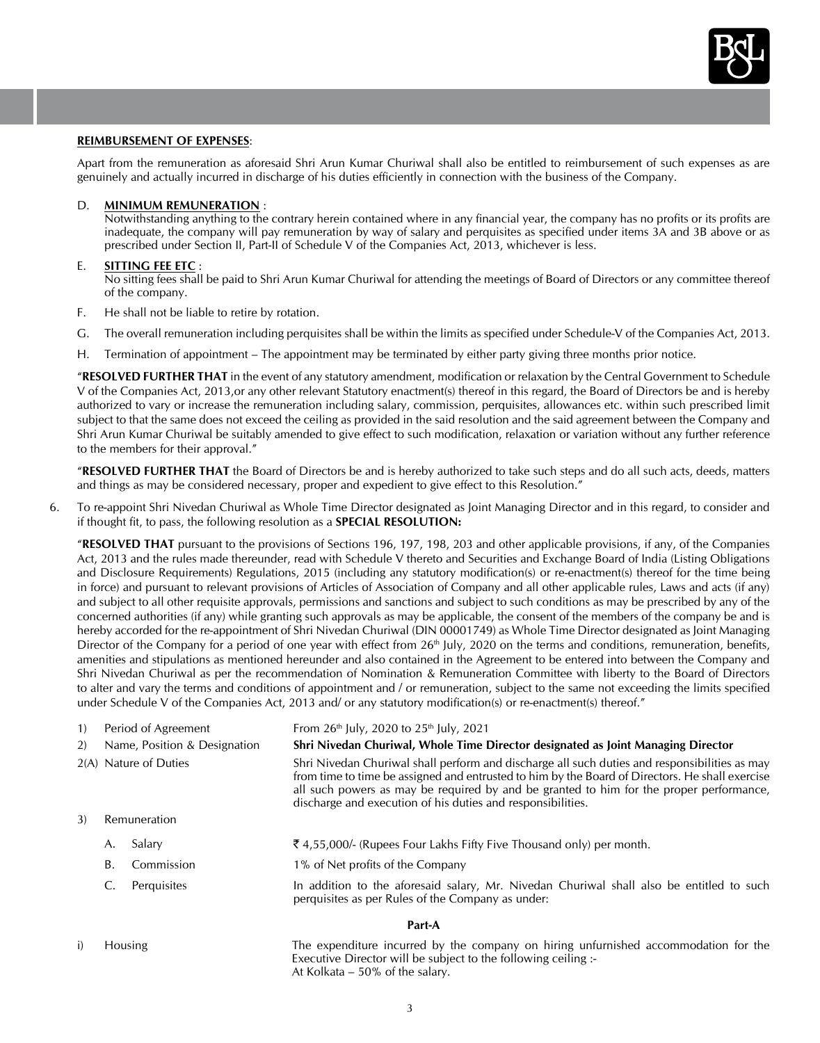

#### **REIMBURSEMENT OF EXPENSES**:

Apart from the remuneration as aforesaid Shri Arun Kumar Churiwal shall also be entitled to reimbursement of such expenses as are genuinely and actually incurred in discharge of his duties efficiently in connection with the business of the Company.

#### D. **MINIMUM REMUNERATION** :

Notwithstanding anything to the contrary herein contained where in any financial year, the company has no profits or its profits are inadequate, the company will pay remuneration by way of salary and perquisites as specified under items 3A and 3B above or as prescribed under Section II, Part-II of Schedule V of the Companies Act, 2013, whichever is less.

#### E. **SITTING FEE ETC** :

No sitting fees shall be paid to Shri Arun Kumar Churiwal for attending the meetings of Board of Directors or any committee thereof of the company.

- F. He shall not be liable to retire by rotation.
- G. The overall remuneration including perquisites shall be within the limits as specified under Schedule-V of the Companies Act, 2013.
- H. Termination of appointment The appointment may be terminated by either party giving three months prior notice.

"**RESOLVED FURTHER THAT** in the event of any statutory amendment, modification or relaxation by the Central Government to Schedule V of the Companies Act, 2013,or any other relevant Statutory enactment(s) thereof in this regard, the Board of Directors be and is hereby authorized to vary or increase the remuneration including salary, commission, perquisites, allowances etc. within such prescribed limit subject to that the same does not exceed the ceiling as provided in the said resolution and the said agreement between the Company and Shri Arun Kumar Churiwal be suitably amended to give effect to such modification, relaxation or variation without any further reference to the members for their approval."

"**RESOLVED FURTHER THAT** the Board of Directors be and is hereby authorized to take such steps and do all such acts, deeds, matters and things as may be considered necessary, proper and expedient to give effect to this Resolution."

6. To re-appoint Shri Nivedan Churiwal as Whole Time Director designated as Joint Managing Director and in this regard, to consider and if thought fit, to pass, the following resolution as a **SPECIAL RESOLUTION:** 

"**RESOLVED THAT** pursuant to the provisions of Sections 196, 197, 198, 203 and other applicable provisions, if any, of the Companies Act, 2013 and the rules made thereunder, read with Schedule V thereto and Securities and Exchange Board of India (Listing Obligations and Disclosure Requirements) Regulations, 2015 (including any statutory modification(s) or re-enactment(s) thereof for the time being in force) and pursuant to relevant provisions of Articles of Association of Company and all other applicable rules, Laws and acts (if any) and subject to all other requisite approvals, permissions and sanctions and subject to such conditions as may be prescribed by any of the concerned authorities (if any) while granting such approvals as may be applicable, the consent of the members of the company be and is hereby accorded for the re-appointment of Shri Nivedan Churiwal (DIN 00001749) as Whole Time Director designated as Joint Managing Director of the Company for a period of one year with effect from  $26<sup>th</sup>$  July, 2020 on the terms and conditions, remuneration, benefits, amenities and stipulations as mentioned hereunder and also contained in the Agreement to be entered into between the Company and Shri Nivedan Churiwal as per the recommendation of Nomination & Remuneration Committee with liberty to the Board of Directors to alter and vary the terms and conditions of appointment and / or remuneration, subject to the same not exceeding the limits specified under Schedule V of the Companies Act, 2013 and/ or any statutory modification(s) or re-enactment(s) thereof."

1) Period of Agreement From  $26<sup>th</sup>$  July, 2020 to  $25<sup>th</sup>$  July, 2021 2) Name, Position & Designation **Shri Nivedan Churiwal, Whole Time Director designated as Joint Managing Director** 2(A) Nature of Duties Shri Nivedan Churiwal shall perform and discharge all such duties and responsibilities as may from time to time be assigned and entrusted to him by the Board of Directors. He shall exercise all such powers as may be required by and be granted to him for the proper performance, discharge and execution of his duties and responsibilities. 3) Remuneration A. Salary  $\bar{\xi}$  4,55,000/- (Rupees Four Lakhs Fifty Five Thousand only) per month. B. Commission 1% of Net profits of the Company C. Perquisites In addition to the aforesaid salary, Mr. Nivedan Churiwal shall also be entitled to such perquisites as per Rules of the Company as under:

#### **Part-A**

i) Housing The expenditure incurred by the company on hiring unfurnished accommodation for the Executive Director will be subject to the following ceiling :- At Kolkata – 50% of the salary.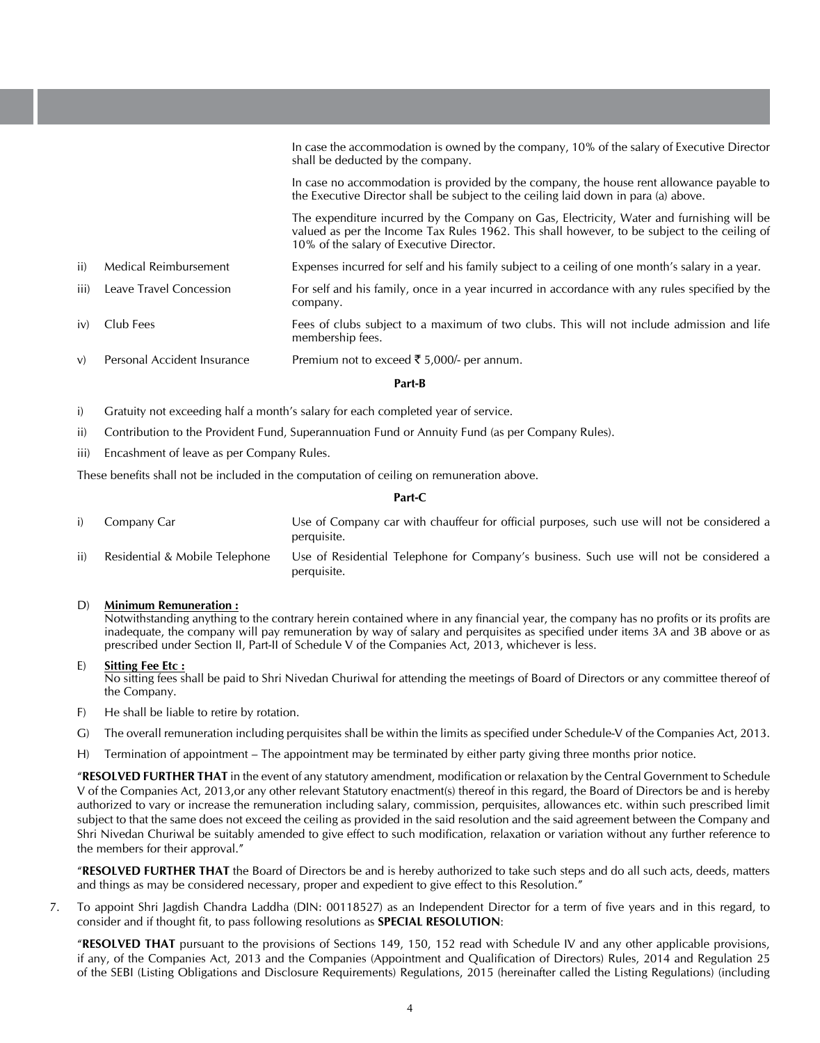|      |                             | In case the accommodation is owned by the company, 10% of the salary of Executive Director<br>shall be deducted by the company.                                                                                                       |
|------|-----------------------------|---------------------------------------------------------------------------------------------------------------------------------------------------------------------------------------------------------------------------------------|
|      |                             | In case no accommodation is provided by the company, the house rent allowance payable to<br>the Executive Director shall be subject to the ceiling laid down in para (a) above.                                                       |
|      |                             | The expenditure incurred by the Company on Gas, Electricity, Water and furnishing will be<br>valued as per the Income Tax Rules 1962. This shall however, to be subject to the ceiling of<br>10% of the salary of Executive Director. |
| ii)  | Medical Reimbursement       | Expenses incurred for self and his family subject to a ceiling of one month's salary in a year.                                                                                                                                       |
| iii) | Leave Travel Concession     | For self and his family, once in a year incurred in accordance with any rules specified by the<br>company.                                                                                                                            |
| iv)  | Club Fees                   | Fees of clubs subject to a maximum of two clubs. This will not include admission and life<br>membership fees.                                                                                                                         |
| V)   | Personal Accident Insurance | Premium not to exceed ₹ 5,000/- per annum.                                                                                                                                                                                            |
|      |                             |                                                                                                                                                                                                                                       |

#### **Part-B**

i) Gratuity not exceeding half a month's salary for each completed year of service.

- ii) Contribution to the Provident Fund, Superannuation Fund or Annuity Fund (as per Company Rules).
- iii) Encashment of leave as per Company Rules.

 These benefits shall not be included in the computation of ceiling on remuneration above.

## **Part-C**

- i) Company Car Use of Company car with chauffeur for official purposes, such use will not be considered a perquisite.
- ii) Residential & Mobile Telephone Use of Residential Telephone for Company's business. Such use will not be considered a perquisite.
- D) **Minimum Remuneration :**

Notwithstanding anything to the contrary herein contained where in any financial year, the company has no profits or its profits are inadequate, the company will pay remuneration by way of salary and perquisites as specified under items 3A and 3B above or as prescribed under Section II, Part-II of Schedule V of the Companies Act, 2013, whichever is less.

E) **Sitting Fee Etc :**

No sitting fees shall be paid to Shri Nivedan Churiwal for attending the meetings of Board of Directors or any committee thereof of the Company.

- F) He shall be liable to retire by rotation.
- G) The overall remuneration including perquisites shall be within the limits as specified under Schedule-V of the Companies Act, 2013.
- H) Termination of appointment The appointment may be terminated by either party giving three months prior notice.

"**RESOLVED FURTHER THAT** in the event of any statutory amendment, modification or relaxation by the Central Government to Schedule V of the Companies Act, 2013,or any other relevant Statutory enactment(s) thereof in this regard, the Board of Directors be and is hereby authorized to vary or increase the remuneration including salary, commission, perquisites, allowances etc. within such prescribed limit subject to that the same does not exceed the ceiling as provided in the said resolution and the said agreement between the Company and Shri Nivedan Churiwal be suitably amended to give effect to such modification, relaxation or variation without any further reference to the members for their approval."

"**RESOLVED FURTHER THAT** the Board of Directors be and is hereby authorized to take such steps and do all such acts, deeds, matters and things as may be considered necessary, proper and expedient to give effect to this Resolution."

7. To appoint Shri Jagdish Chandra Laddha (DIN: 00118527) as an Independent Director for a term of five years and in this regard, to consider and if thought fit, to pass following resolutions as **SPECIAL RESOLUTION**:

"**RESOLVED THAT** pursuant to the provisions of Sections 149, 150, 152 read with Schedule IV and any other applicable provisions, if any, of the Companies Act, 2013 and the Companies (Appointment and Qualification of Directors) Rules, 2014 and Regulation 25 of the SEBI (Listing Obligations and Disclosure Requirements) Regulations, 2015 (hereinafter called the Listing Regulations) (including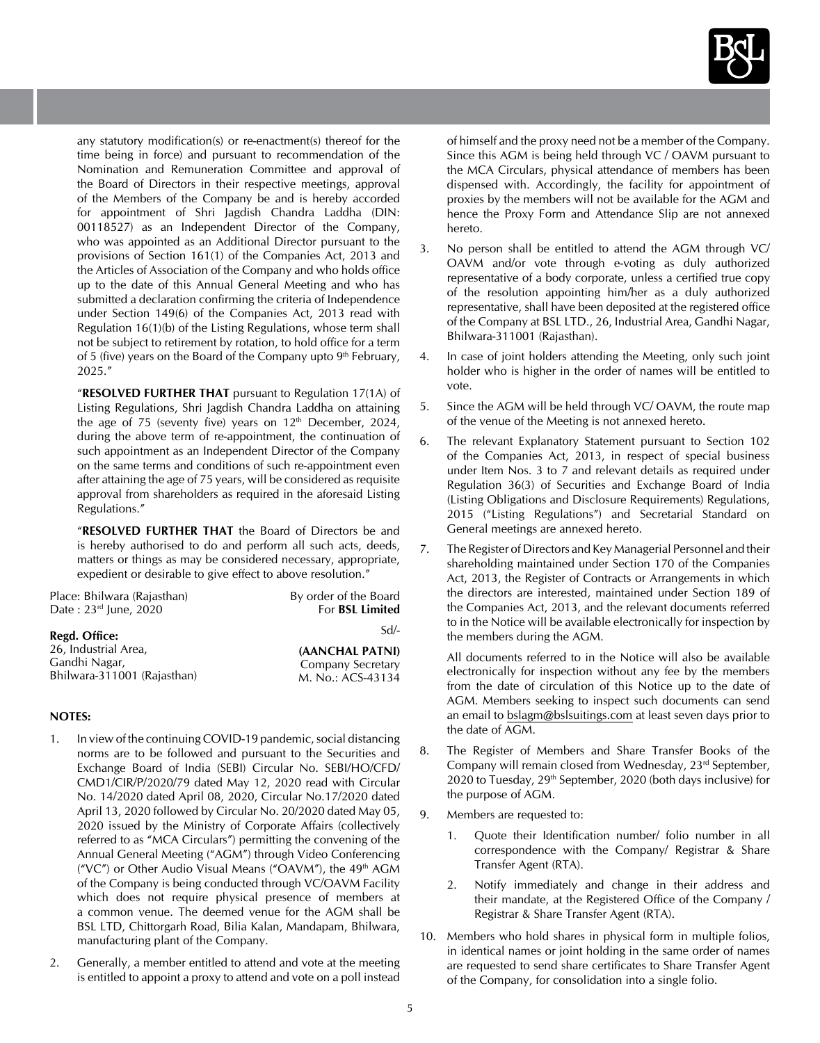

any statutory modification(s) or re-enactment(s) thereof for the time being in force) and pursuant to recommendation of the Nomination and Remuneration Committee and approval of the Board of Directors in their respective meetings, approval of the Members of the Company be and is hereby accorded for appointment of Shri Jagdish Chandra Laddha (DIN: 00118527) as an Independent Director of the Company, who was appointed as an Additional Director pursuant to the provisions of Section 161(1) of the Companies Act, 2013 and the Articles of Association of the Company and who holds office up to the date of this Annual General Meeting and who has submitted a declaration confirming the criteria of Independence under Section 149(6) of the Companies Act, 2013 read with Regulation 16(1)(b) of the Listing Regulations, whose term shall not be subject to retirement by rotation, to hold office for a term of 5 (five) years on the Board of the Company upto  $9<sup>th</sup>$  February, 2025."

"**RESOLVED FURTHER THAT** pursuant to Regulation 17(1A) of Listing Regulations, Shri Jagdish Chandra Laddha on attaining the age of 75 (seventy five) years on  $12<sup>th</sup>$  December, 2024, during the above term of re-appointment, the continuation of such appointment as an Independent Director of the Company on the same terms and conditions of such re-appointment even after attaining the age of 75 years, will be considered as requisite approval from shareholders as required in the aforesaid Listing Regulations."

"**RESOLVED FURTHER THAT** the Board of Directors be and is hereby authorised to do and perform all such acts, deeds, matters or things as may be considered necessary, appropriate, expedient or desirable to give effect to above resolution."

| Place: Bhilwara (Rajasthan) | By order of the Board    |  |  |
|-----------------------------|--------------------------|--|--|
| Date: 23rd June, 2020       | For <b>BSL Limited</b>   |  |  |
| Regd. Office:               | Sd/                      |  |  |
| 26, Industrial Area,        | (AANCHAL PATNI)          |  |  |
| Gandhi Nagar,               | <b>Company Secretary</b> |  |  |
| Bhilwara-311001 (Rajasthan) | M. No.: ACS-43134        |  |  |

## **NOTES:**

- 1. In view of the continuing COVID-19 pandemic, social distancing norms are to be followed and pursuant to the Securities and Exchange Board of India (SEBI) Circular No. SEBI/HO/CFD/ CMD1/CIR/P/2020/79 dated May 12, 2020 read with Circular No. 14/2020 dated April 08, 2020, Circular No.17/2020 dated April 13, 2020 followed by Circular No. 20/2020 dated May 05, 2020 issued by the Ministry of Corporate Affairs (collectively referred to as "MCA Circulars") permitting the convening of the Annual General Meeting ("AGM") through Video Conferencing ("VC") or Other Audio Visual Means ("OAVM"), the 49<sup>th</sup> AGM of the Company is being conducted through VC/OAVM Facility which does not require physical presence of members at a common venue. The deemed venue for the AGM shall be BSL LTD, Chittorgarh Road, Bilia Kalan, Mandapam, Bhilwara, manufacturing plant of the Company.
- 2. Generally, a member entitled to attend and vote at the meeting is entitled to appoint a proxy to attend and vote on a poll instead

of himself and the proxy need not be a member of the Company. Since this AGM is being held through VC / OAVM pursuant to the MCA Circulars, physical attendance of members has been dispensed with. Accordingly, the facility for appointment of proxies by the members will not be available for the AGM and hence the Proxy Form and Attendance Slip are not annexed hereto.

- 3. No person shall be entitled to attend the AGM through VC/ OAVM and/or vote through e-voting as duly authorized representative of a body corporate, unless a certified true copy of the resolution appointing him/her as a duly authorized representative, shall have been deposited at the registered office of the Company at BSL LTD., 26, Industrial Area, Gandhi Nagar, Bhilwara-311001 (Rajasthan).
- 4. In case of joint holders attending the Meeting, only such joint holder who is higher in the order of names will be entitled to vote.
- 5. Since the AGM will be held through VC/ OAVM, the route map of the venue of the Meeting is not annexed hereto.
- 6. The relevant Explanatory Statement pursuant to Section 102 of the Companies Act, 2013, in respect of special business under Item Nos. 3 to 7 and relevant details as required under Regulation 36(3) of Securities and Exchange Board of India (Listing Obligations and Disclosure Requirements) Regulations, 2015 ("Listing Regulations") and Secretarial Standard on General meetings are annexed hereto.
- 7. The Register of Directors and Key Managerial Personnel and their shareholding maintained under Section 170 of the Companies Act, 2013, the Register of Contracts or Arrangements in which the directors are interested, maintained under Section 189 of the Companies Act, 2013, and the relevant documents referred to in the Notice will be available electronically for inspection by the members during the AGM.

All documents referred to in the Notice will also be available electronically for inspection without any fee by the members from the date of circulation of this Notice up to the date of AGM. Members seeking to inspect such documents can send an email to bslagm@bslsuitings.com at least seven days prior to the date of AGM.

- 8. The Register of Members and Share Transfer Books of the Company will remain closed from Wednesday, 23rd September, 2020 to Tuesday, 29th September, 2020 (both days inclusive) for the purpose of AGM.
- 9. Members are requested to:
	- 1. Quote their Identification number/ folio number in all correspondence with the Company/ Registrar & Share Transfer Agent (RTA).
	- 2. Notify immediately and change in their address and their mandate, at the Registered Office of the Company / Registrar & Share Transfer Agent (RTA).
- 10. Members who hold shares in physical form in multiple folios, in identical names or joint holding in the same order of names are requested to send share certificates to Share Transfer Agent of the Company, for consolidation into a single folio.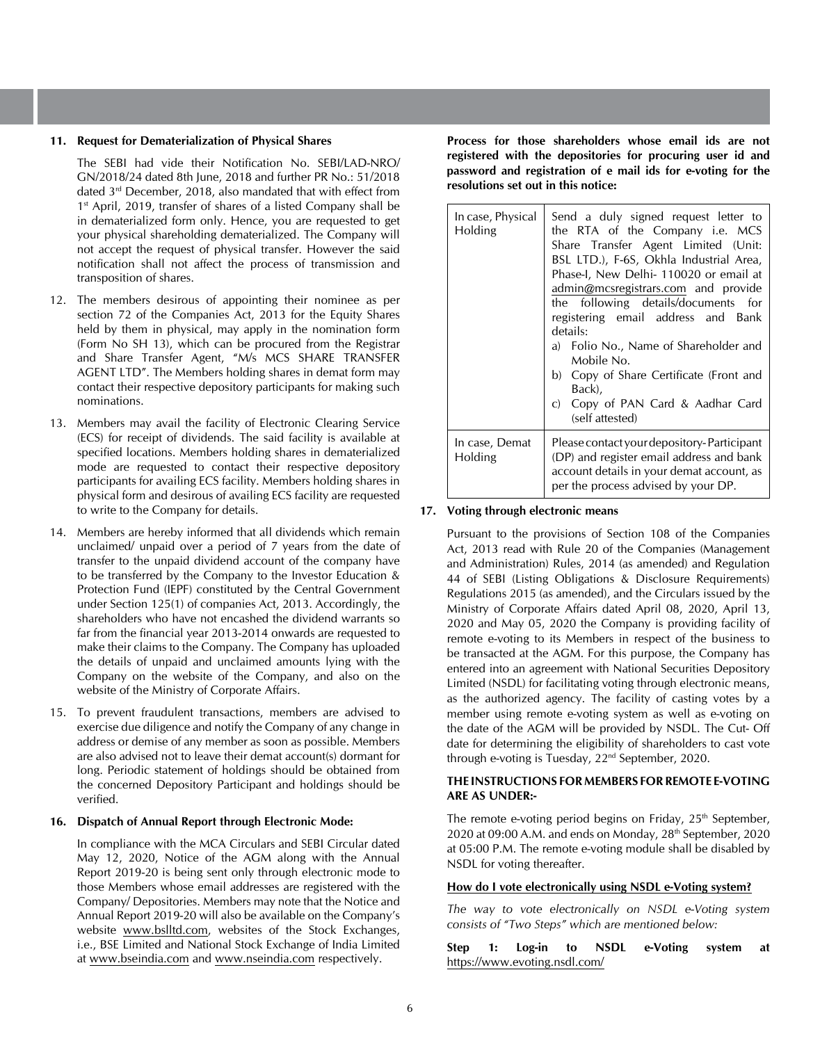#### **11. Request for Dematerialization of Physical Shares**

 The SEBI had vide their Notification No. SEBI/LAD-NRO/ GN/2018/24 dated 8th June, 2018 and further PR No.: 51/2018 dated 3rd December, 2018, also mandated that with effect from 1<sup>st</sup> April, 2019, transfer of shares of a listed Company shall be in dematerialized form only. Hence, you are requested to get your physical shareholding dematerialized. The Company will not accept the request of physical transfer. However the said notification shall not affect the process of transmission and transposition of shares.

- 12. The members desirous of appointing their nominee as per section 72 of the Companies Act, 2013 for the Equity Shares held by them in physical, may apply in the nomination form (Form No SH 13), which can be procured from the Registrar and Share Transfer Agent, "M/s MCS SHARE TRANSFER AGENT LTD". The Members holding shares in demat form may contact their respective depository participants for making such nominations.
- 13. Members may avail the facility of Electronic Clearing Service (ECS) for receipt of dividends. The said facility is available at specified locations. Members holding shares in dematerialized mode are requested to contact their respective depository participants for availing ECS facility. Members holding shares in physical form and desirous of availing ECS facility are requested to write to the Company for details.
- 14. Members are hereby informed that all dividends which remain unclaimed/ unpaid over a period of 7 years from the date of transfer to the unpaid dividend account of the company have to be transferred by the Company to the Investor Education & Protection Fund (IEPF) constituted by the Central Government under Section 125(1) of companies Act, 2013. Accordingly, the shareholders who have not encashed the dividend warrants so far from the financial year 2013-2014 onwards are requested to make their claims to the Company. The Company has uploaded the details of unpaid and unclaimed amounts lying with the Company on the website of the Company, and also on the website of the Ministry of Corporate Affairs.
- 15. To prevent fraudulent transactions, members are advised to exercise due diligence and notify the Company of any change in address or demise of any member as soon as possible. Members are also advised not to leave their demat account(s) dormant for long. Periodic statement of holdings should be obtained from the concerned Depository Participant and holdings should be verified.

## **16. Dispatch of Annual Report through Electronic Mode:**

In compliance with the MCA Circulars and SEBI Circular dated May 12, 2020, Notice of the AGM along with the Annual Report 2019-20 is being sent only through electronic mode to those Members whose email addresses are registered with the Company/ Depositories. Members may note that the Notice and Annual Report 2019-20 will also be available on the Company's website www.bslltd.com, websites of the Stock Exchanges, i.e., BSE Limited and National Stock Exchange of India Limited at www.bseindia.com and www.nseindia.com respectively.

**Process for those shareholders whose email ids are not registered with the depositories for procuring user id and password and registration of e mail ids for e-voting for the resolutions set out in this notice:**

| In case, Physical<br>Holding | Send a duly signed request letter to<br>the RTA of the Company i.e. MCS<br>Share Transfer Agent Limited (Unit:<br>BSL LTD.), F-6S, Okhla Industrial Area,<br>Phase-I, New Delhi- 110020 or email at<br>admin@mcsregistrars.com and provide<br>the following details/documents for<br>registering email address and Bank<br>details:<br>a) Folio No., Name of Shareholder and<br>Mobile No.<br>b) Copy of Share Certificate (Front and<br>Back),<br>c) Copy of PAN Card & Aadhar Card<br>(self attested) |  |  |
|------------------------------|---------------------------------------------------------------------------------------------------------------------------------------------------------------------------------------------------------------------------------------------------------------------------------------------------------------------------------------------------------------------------------------------------------------------------------------------------------------------------------------------------------|--|--|
| In case, Demat<br>Holding    | Please contact your depository-Participant<br>(DP) and register email address and bank<br>account details in your demat account, as<br>per the process advised by your DP.                                                                                                                                                                                                                                                                                                                              |  |  |

## **17. Voting through electronic means**

Pursuant to the provisions of Section 108 of the Companies Act, 2013 read with Rule 20 of the Companies (Management and Administration) Rules, 2014 (as amended) and Regulation 44 of SEBI (Listing Obligations & Disclosure Requirements) Regulations 2015 (as amended), and the Circulars issued by the Ministry of Corporate Affairs dated April 08, 2020, April 13, 2020 and May 05, 2020 the Company is providing facility of remote e-voting to its Members in respect of the business to be transacted at the AGM. For this purpose, the Company has entered into an agreement with National Securities Depository Limited (NSDL) for facilitating voting through electronic means, as the authorized agency. The facility of casting votes by a member using remote e-voting system as well as e-voting on the date of the AGM will be provided by NSDL. The Cut- Off date for determining the eligibility of shareholders to cast vote through e-voting is Tuesday, 22nd September, 2020.

#### **THE INSTRUCTIONS FOR MEMBERS FOR REMOTE E-VOTING ARE AS UNDER:-**

The remote e-voting period begins on Friday, 25<sup>th</sup> September, 2020 at 09:00 A.M. and ends on Monday, 28<sup>th</sup> September, 2020 at 05:00 P.M. The remote e-voting module shall be disabled by NSDL for voting thereafter.

## **How do I vote electronically using NSDL e-Voting system?**

*The way to vote electronically on NSDL e-Voting system consists of "Two Steps" which are mentioned below:*

**Step 1: Log-in to NSDL e-Voting system at**  https://www.evoting.nsdl.com/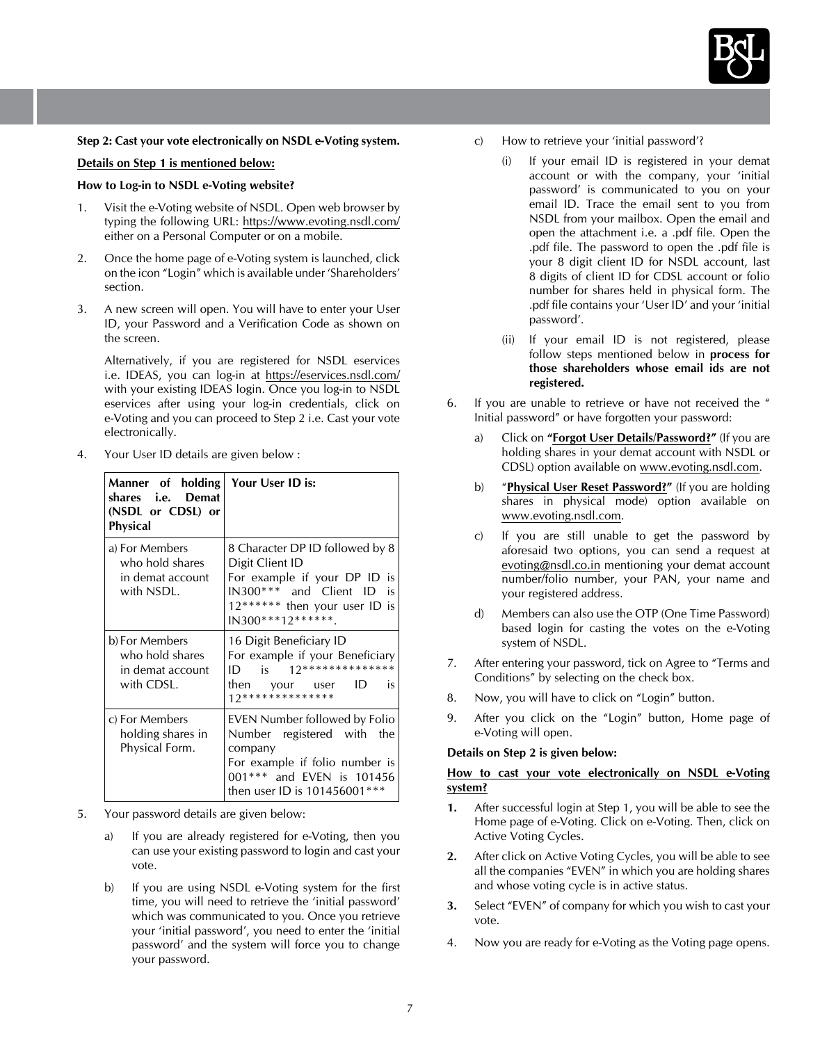

#### **Step 2: Cast your vote electronically on NSDL e-Voting system.**

#### **Details on Step 1 is mentioned below:**

## **How to Log-in to NSDL e-Voting website?**

- 1. Visit the e-Voting website of NSDL. Open web browser by typing the following URL: https://www.evoting.nsdl.com/ either on a Personal Computer or on a mobile.
- 2. Once the home page of e-Voting system is launched, click on the icon "Login" which is available under 'Shareholders' section.
- 3. A new screen will open. You will have to enter your User ID, your Password and a Verification Code as shown on the screen.

Alternatively, if you are registered for NSDL eservices i.e. IDEAS, you can log-in at https://eservices.nsdl.com/ with your existing IDEAS login. Once you log-in to NSDL eservices after using your log-in credentials, click on e-Voting and you can proceed to Step 2 i.e. Cast your vote electronically.

4. Your User ID details are given below :

| Manner of holding Your User ID is:<br>shares i.e. Demat<br>(NSDL or CDSL) or<br><b>Physical</b> |                                                                                                                                                                                        |  |  |  |  |
|-------------------------------------------------------------------------------------------------|----------------------------------------------------------------------------------------------------------------------------------------------------------------------------------------|--|--|--|--|
| a) For Members<br>who hold shares<br>in demat account<br>with NSDL.                             | 8 Character DP ID followed by 8<br>Digit Client ID<br>For example if your DP ID<br>is<br>IN300*** and Client ID<br>is<br>12****** then your user ID<br><i>is</i><br>$IN300***12******$ |  |  |  |  |
| b) For Members<br>who hold shares<br>in demat account<br>with CDSL.                             | 16 Digit Beneficiary ID<br>For example if your Beneficiary<br>$ID$ is $12*********************$<br>then your user<br>ID<br>is<br>12**************                                      |  |  |  |  |
| c) For Members<br>holding shares in<br>Physical Form.                                           | EVEN Number followed by Folio<br>Number registered with the<br>company<br>For example if folio number is<br>001 *** and EVEN is 101456<br>then user ID is 101456001***                 |  |  |  |  |

- 5. Your password details are given below:
	- a) If you are already registered for e-Voting, then you can use your existing password to login and cast your vote.
	- b) If you are using NSDL e-Voting system for the first time, you will need to retrieve the 'initial password' which was communicated to you. Once you retrieve your 'initial password', you need to enter the 'initial password' and the system will force you to change your password.
- c) How to retrieve your 'initial password'?
	- (i) If your email ID is registered in your demat account or with the company, your 'initial password' is communicated to you on your email ID. Trace the email sent to you from NSDL from your mailbox. Open the email and open the attachment i.e. a .pdf file. Open the .pdf file. The password to open the .pdf file is your 8 digit client ID for NSDL account, last 8 digits of client ID for CDSL account or folio number for shares held in physical form. The .pdf file contains your 'User ID' and your 'initial password'.
	- (ii) If your email ID is not registered, please follow steps mentioned below in **process for those shareholders whose email ids are not registered.**
- 6. If you are unable to retrieve or have not received the " Initial password" or have forgotten your password:
	- a) Click on **"Forgot User Details/Password?"** (If you are holding shares in your demat account with NSDL or CDSL) option available on www.evoting.nsdl.com.
	- b) "**Physical User Reset Password?"** (If you are holding shares in physical mode) option available on www.evoting.nsdl.com.
	- c) If you are still unable to get the password by aforesaid two options, you can send a request at evoting@nsdl.co.in mentioning your demat account number/folio number, your PAN, your name and your registered address.
	- d) Members can also use the OTP (One Time Password) based login for casting the votes on the e-Voting system of NSDL.
- 7. After entering your password, tick on Agree to "Terms and Conditions" by selecting on the check box.
- 8. Now, you will have to click on "Login" button.
- 9. After you click on the "Login" button, Home page of e-Voting will open.

#### **Details on Step 2 is given below:**

## **How to cast your vote electronically on NSDL e-Voting system?**

- **1.** After successful login at Step 1, you will be able to see the Home page of e-Voting. Click on e-Voting. Then, click on Active Voting Cycles.
- **2.** After click on Active Voting Cycles, you will be able to see all the companies "EVEN" in which you are holding shares and whose voting cycle is in active status.
- **3.** Select "EVEN" of company for which you wish to cast your vote.
- 4. Now you are ready for e-Voting as the Voting page opens.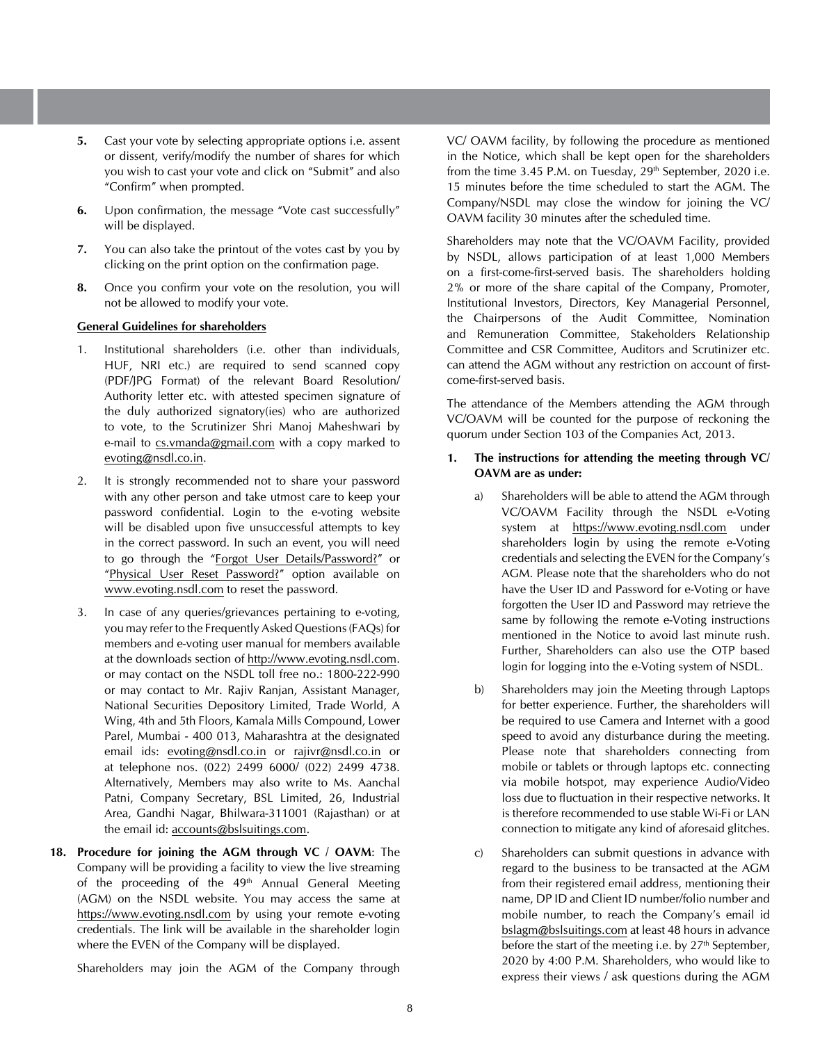- **5.** Cast your vote by selecting appropriate options i.e. assent or dissent, verify/modify the number of shares for which you wish to cast your vote and click on "Submit" and also "Confirm" when prompted.
- **6.** Upon confirmation, the message "Vote cast successfully" will be displayed.
- **7.** You can also take the printout of the votes cast by you by clicking on the print option on the confirmation page.
- **8.** Once you confirm your vote on the resolution, you will not be allowed to modify your vote.

## **General Guidelines for shareholders**

- 1. Institutional shareholders (i.e. other than individuals, HUF, NRI etc.) are required to send scanned copy (PDF/JPG Format) of the relevant Board Resolution/ Authority letter etc. with attested specimen signature of the duly authorized signatory(ies) who are authorized to vote, to the Scrutinizer Shri Manoj Maheshwari by e-mail to cs.vmanda@gmail.com with a copy marked to evoting@nsdl.co.in.
- 2. It is strongly recommended not to share your password with any other person and take utmost care to keep your password confidential. Login to the e-voting website will be disabled upon five unsuccessful attempts to key in the correct password. In such an event, you will need to go through the "Forgot User Details/Password?" or "Physical User Reset Password?" option available on www.evoting.nsdl.com to reset the password.
- 3. In case of any queries/grievances pertaining to e-voting, you may refer to the Frequently Asked Questions (FAQs) for members and e-voting user manual for members available at the downloads section of http://www.evoting.nsdl.com. or may contact on the NSDL toll free no.: 1800-222-990 or may contact to Mr. Rajiv Ranjan, Assistant Manager, National Securities Depository Limited, Trade World, A Wing, 4th and 5th Floors, Kamala Mills Compound, Lower Parel, Mumbai - 400 013, Maharashtra at the designated email ids: evoting@nsdl.co.in or rajivr@nsdl.co.in or at telephone nos. (022) 2499 6000/ (022) 2499 4738. Alternatively, Members may also write to Ms. Aanchal Patni, Company Secretary, BSL Limited, 26, Industrial Area, Gandhi Nagar, Bhilwara-311001 (Rajasthan) or at the email id: accounts@bslsuitings.com.
- **18. Procedure for joining the AGM through VC / OAVM**: The Company will be providing a facility to view the live streaming of the proceeding of the  $49<sup>th</sup>$  Annual General Meeting (AGM) on the NSDL website. You may access the same at https://www.evoting.nsdl.com by using your remote e-voting credentials. The link will be available in the shareholder login where the EVEN of the Company will be displayed.

Shareholders may join the AGM of the Company through

VC/ OAVM facility, by following the procedure as mentioned in the Notice, which shall be kept open for the shareholders from the time 3.45 P.M. on Tuesday, 29<sup>th</sup> September, 2020 i.e. 15 minutes before the time scheduled to start the AGM. The Company/NSDL may close the window for joining the VC/ OAVM facility 30 minutes after the scheduled time.

Shareholders may note that the VC/OAVM Facility, provided by NSDL, allows participation of at least 1,000 Members on a first-come-first-served basis. The shareholders holding 2% or more of the share capital of the Company, Promoter, Institutional Investors, Directors, Key Managerial Personnel, the Chairpersons of the Audit Committee, Nomination and Remuneration Committee, Stakeholders Relationship Committee and CSR Committee, Auditors and Scrutinizer etc. can attend the AGM without any restriction on account of firstcome-first-served basis.

The attendance of the Members attending the AGM through VC/OAVM will be counted for the purpose of reckoning the quorum under Section 103 of the Companies Act, 2013.

## **1. The instructions for attending the meeting through VC/ OAVM are as under:**

- a) Shareholders will be able to attend the AGM through VC/OAVM Facility through the NSDL e-Voting system at https://www.evoting.nsdl.com under shareholders login by using the remote e-Voting credentials and selecting the EVEN for the Company's AGM. Please note that the shareholders who do not have the User ID and Password for e-Voting or have forgotten the User ID and Password may retrieve the same by following the remote e-Voting instructions mentioned in the Notice to avoid last minute rush. Further, Shareholders can also use the OTP based login for logging into the e-Voting system of NSDL.
- b) Shareholders may join the Meeting through Laptops for better experience. Further, the shareholders will be required to use Camera and Internet with a good speed to avoid any disturbance during the meeting. Please note that shareholders connecting from mobile or tablets or through laptops etc. connecting via mobile hotspot, may experience Audio/Video loss due to fluctuation in their respective networks. It is therefore recommended to use stable Wi-Fi or LAN connection to mitigate any kind of aforesaid glitches.
- c) Shareholders can submit questions in advance with regard to the business to be transacted at the AGM from their registered email address, mentioning their name, DP ID and Client ID number/folio number and mobile number, to reach the Company's email id bslagm@bslsuitings.com at least 48 hours in advance before the start of the meeting i.e. by  $27<sup>th</sup>$  September, 2020 by 4:00 P.M. Shareholders, who would like to express their views / ask questions during the AGM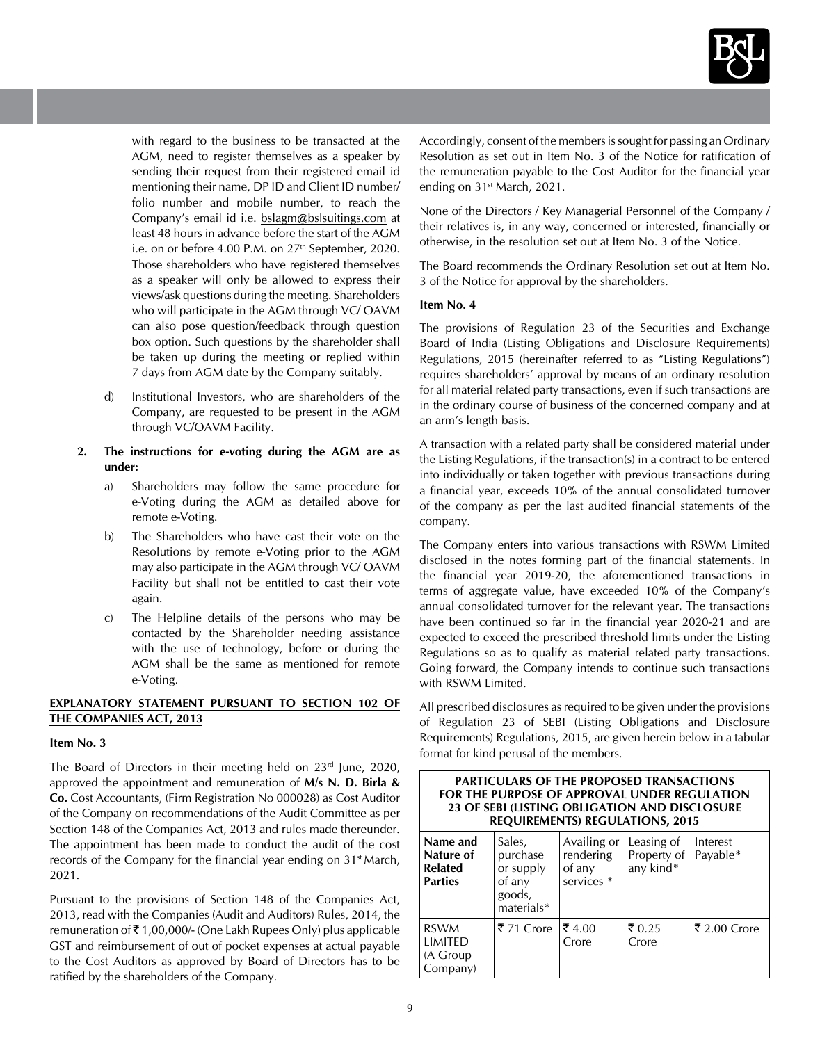

with regard to the business to be transacted at the AGM, need to register themselves as a speaker by sending their request from their registered email id mentioning their name, DP ID and Client ID number/ folio number and mobile number, to reach the Company's email id i.e. bslagm@bslsuitings.com at least 48 hours in advance before the start of the AGM i.e. on or before 4.00 P.M. on  $27<sup>th</sup>$  September, 2020. Those shareholders who have registered themselves as a speaker will only be allowed to express their views/ask questions during the meeting. Shareholders who will participate in the AGM through VC/ OAVM can also pose question/feedback through question box option. Such questions by the shareholder shall be taken up during the meeting or replied within 7 days from AGM date by the Company suitably.

d) Institutional Investors, who are shareholders of the Company, are requested to be present in the AGM through VC/OAVM Facility.

## **2. The instructions for e-voting during the AGM are as under:**

- a) Shareholders may follow the same procedure for e-Voting during the AGM as detailed above for remote e-Voting.
- b) The Shareholders who have cast their vote on the Resolutions by remote e-Voting prior to the AGM may also participate in the AGM through VC/ OAVM Facility but shall not be entitled to cast their vote again.
- c) The Helpline details of the persons who may be contacted by the Shareholder needing assistance with the use of technology, before or during the AGM shall be the same as mentioned for remote e-Voting.

## **EXPLANATORY STATEMENT PURSUANT TO SECTION 102 OF THE COMPANIES ACT, 2013**

#### **Item No. 3**

The Board of Directors in their meeting held on  $23<sup>rd</sup>$  June, 2020, approved the appointment and remuneration of **M/s N. D. Birla & Co.** Cost Accountants, (Firm Registration No 000028) as Cost Auditor of the Company on recommendations of the Audit Committee as per Section 148 of the Companies Act, 2013 and rules made thereunder. The appointment has been made to conduct the audit of the cost records of the Company for the financial year ending on 31<sup>st</sup> March, 2021.

Pursuant to the provisions of Section 148 of the Companies Act, 2013, read with the Companies (Audit and Auditors) Rules, 2014, the remuneration of  $\bar{\tau}$  1,00,000/- (One Lakh Rupees Only) plus applicable GST and reimbursement of out of pocket expenses at actual payable to the Cost Auditors as approved by Board of Directors has to be ratified by the shareholders of the Company.

Accordingly, consent of the members is sought for passing an Ordinary Resolution as set out in Item No. 3 of the Notice for ratification of the remuneration payable to the Cost Auditor for the financial year ending on 31<sup>st</sup> March, 2021.

None of the Directors / Key Managerial Personnel of the Company / their relatives is, in any way, concerned or interested, financially or otherwise, in the resolution set out at Item No. 3 of the Notice.

The Board recommends the Ordinary Resolution set out at Item No. 3 of the Notice for approval by the shareholders.

## **Item No. 4**

The provisions of Regulation 23 of the Securities and Exchange Board of India (Listing Obligations and Disclosure Requirements) Regulations, 2015 (hereinafter referred to as "Listing Regulations") requires shareholders' approval by means of an ordinary resolution for all material related party transactions, even if such transactions are in the ordinary course of business of the concerned company and at an arm's length basis.

A transaction with a related party shall be considered material under the Listing Regulations, if the transaction(s) in a contract to be entered into individually or taken together with previous transactions during a financial year, exceeds 10% of the annual consolidated turnover of the company as per the last audited financial statements of the company.

The Company enters into various transactions with RSWM Limited disclosed in the notes forming part of the financial statements. In the financial year 2019-20, the aforementioned transactions in terms of aggregate value, have exceeded 10% of the Company's annual consolidated turnover for the relevant year. The transactions have been continued so far in the financial year 2020-21 and are expected to exceed the prescribed threshold limits under the Listing Regulations so as to qualify as material related party transactions. Going forward, the Company intends to continue such transactions with RSWM Limited.

All prescribed disclosures as required to be given under the provisions of Regulation 23 of SEBI (Listing Obligations and Disclosure Requirements) Regulations, 2015, are given herein below in a tabular format for kind perusal of the members.

**PARTICULARS OF THE PROPOSED TRANSACTIONS FOR THE PURPOSE OF APPROVAL UNDER REGULATION** 

| 23 OF SEBI (LISTING OBLIGATION AND DISCLOSURE<br><b>REQUIREMENTS) REGULATIONS, 2015</b> |                                                                   |                                                             |                                        |                      |  |  |  |
|-----------------------------------------------------------------------------------------|-------------------------------------------------------------------|-------------------------------------------------------------|----------------------------------------|----------------------|--|--|--|
| Name and<br>Nature of<br><b>Related</b><br><b>Parties</b>                               | Sales,<br>purchase<br>or supply<br>of any<br>goods,<br>materials* | Availing or<br>rendering<br>of any<br>services <sup>*</sup> | Leasing of<br>Property of<br>any kind* | Interest<br>Pavable* |  |  |  |
| <b>RSWM</b><br>LIMITED<br>(A Group<br>Company)                                          | ₹ 71 Crore                                                        | ₹4.00<br>Crore                                              | ₹ 0.25<br>Crore                        | ₹ 2.00 Crore         |  |  |  |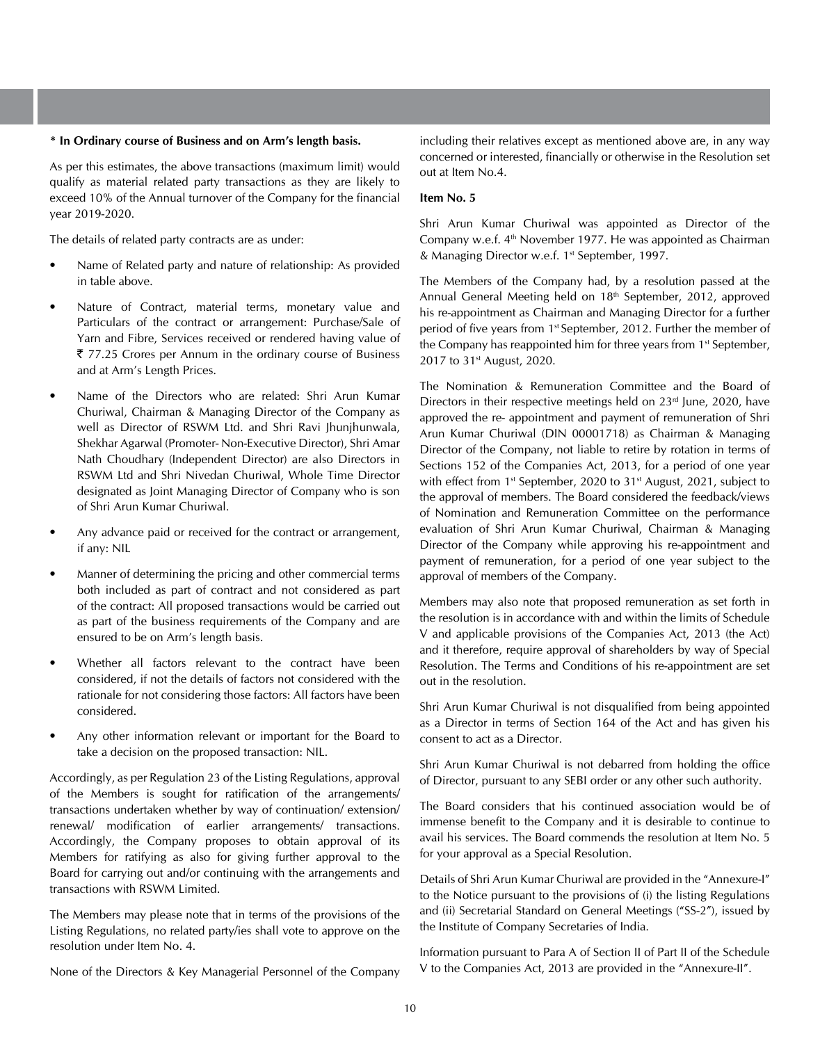#### **\* In Ordinary course of Business and on Arm's length basis.**

As per this estimates, the above transactions (maximum limit) would qualify as material related party transactions as they are likely to exceed 10% of the Annual turnover of the Company for the financial year 2019-2020.

The details of related party contracts are as under:

- Name of Related party and nature of relationship: As provided in table above.
- Nature of Contract, material terms, monetary value and Particulars of the contract or arrangement: Purchase/Sale of Yarn and Fibre, Services received or rendered having value of  $\bar{\tau}$  77.25 Crores per Annum in the ordinary course of Business and at Arm's Length Prices.
- Name of the Directors who are related: Shri Arun Kumar Churiwal, Chairman & Managing Director of the Company as well as Director of RSWM Ltd. and Shri Ravi Jhunjhunwala, Shekhar Agarwal (Promoter- Non-Executive Director), Shri Amar Nath Choudhary (Independent Director) are also Directors in RSWM Ltd and Shri Nivedan Churiwal, Whole Time Director designated as Joint Managing Director of Company who is son of Shri Arun Kumar Churiwal.
- Any advance paid or received for the contract or arrangement, if any: NIL
- Manner of determining the pricing and other commercial terms both included as part of contract and not considered as part of the contract: All proposed transactions would be carried out as part of the business requirements of the Company and are ensured to be on Arm's length basis.
- Whether all factors relevant to the contract have been considered, if not the details of factors not considered with the rationale for not considering those factors: All factors have been considered.
- Any other information relevant or important for the Board to take a decision on the proposed transaction: NIL.

Accordingly, as per Regulation 23 of the Listing Regulations, approval of the Members is sought for ratification of the arrangements/ transactions undertaken whether by way of continuation/ extension/ renewal/ modification of earlier arrangements/ transactions. Accordingly, the Company proposes to obtain approval of its Members for ratifying as also for giving further approval to the Board for carrying out and/or continuing with the arrangements and transactions with RSWM Limited.

The Members may please note that in terms of the provisions of the Listing Regulations, no related party/ies shall vote to approve on the resolution under Item No. 4.

None of the Directors & Key Managerial Personnel of the Company

including their relatives except as mentioned above are, in any way concerned or interested, financially or otherwise in the Resolution set out at Item No.4.

#### **Item No. 5**

Shri Arun Kumar Churiwal was appointed as Director of the Company w.e.f. 4<sup>th</sup> November 1977. He was appointed as Chairman & Managing Director w.e.f. 1<sup>st</sup> September, 1997.

The Members of the Company had, by a resolution passed at the Annual General Meeting held on 18<sup>th</sup> September, 2012, approved his re-appointment as Chairman and Managing Director for a further period of five years from 1st September, 2012. Further the member of the Company has reappointed him for three years from 1<sup>st</sup> September, 2017 to 31<sup>st</sup> August, 2020.

The Nomination & Remuneration Committee and the Board of Directors in their respective meetings held on  $23<sup>rd</sup>$  June, 2020, have approved the re- appointment and payment of remuneration of Shri Arun Kumar Churiwal (DIN 00001718) as Chairman & Managing Director of the Company, not liable to retire by rotation in terms of Sections 152 of the Companies Act, 2013, for a period of one year with effect from 1<sup>st</sup> September, 2020 to 31<sup>st</sup> August, 2021, subject to the approval of members. The Board considered the feedback/views of Nomination and Remuneration Committee on the performance evaluation of Shri Arun Kumar Churiwal, Chairman & Managing Director of the Company while approving his re-appointment and payment of remuneration, for a period of one year subject to the approval of members of the Company.

Members may also note that proposed remuneration as set forth in the resolution is in accordance with and within the limits of Schedule V and applicable provisions of the Companies Act, 2013 (the Act) and it therefore, require approval of shareholders by way of Special Resolution. The Terms and Conditions of his re-appointment are set out in the resolution.

Shri Arun Kumar Churiwal is not disqualified from being appointed as a Director in terms of Section 164 of the Act and has given his consent to act as a Director.

Shri Arun Kumar Churiwal is not debarred from holding the office of Director, pursuant to any SEBI order or any other such authority.

The Board considers that his continued association would be of immense benefit to the Company and it is desirable to continue to avail his services. The Board commends the resolution at Item No. 5 for your approval as a Special Resolution.

Details of Shri Arun Kumar Churiwal are provided in the "Annexure-I" to the Notice pursuant to the provisions of (i) the listing Regulations and (ii) Secretarial Standard on General Meetings ("SS-2"), issued by the Institute of Company Secretaries of India.

Information pursuant to Para A of Section II of Part II of the Schedule V to the Companies Act, 2013 are provided in the "Annexure-II".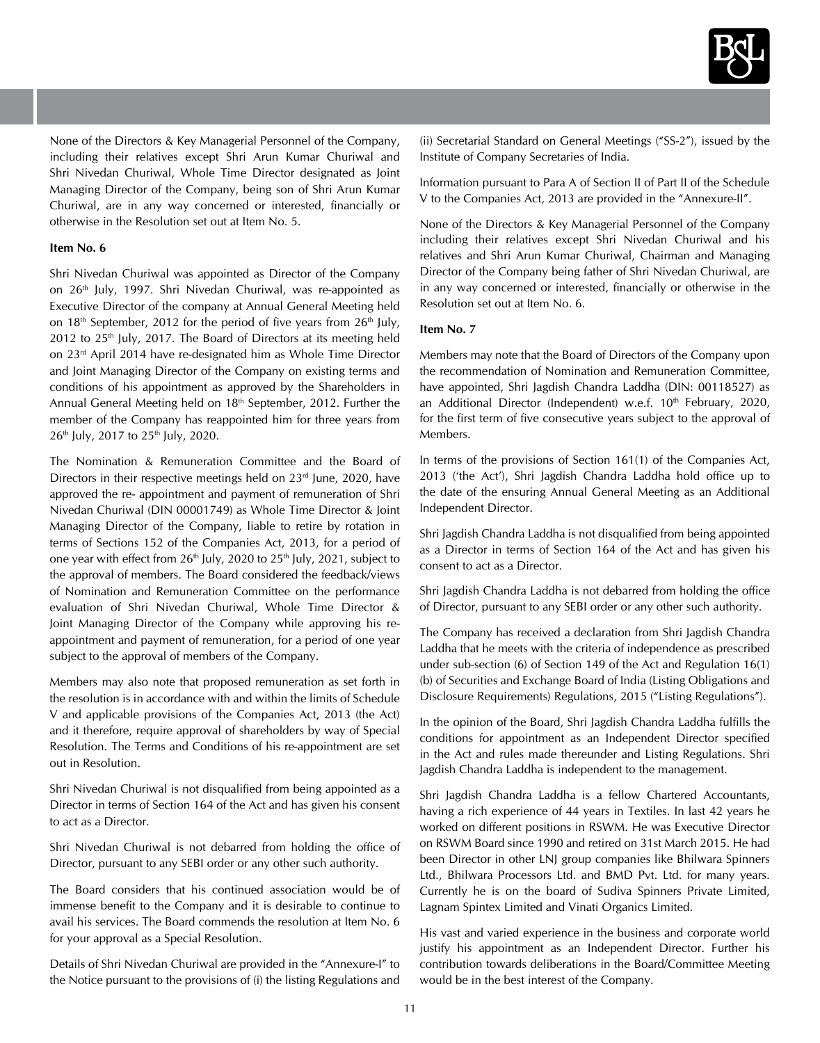

None of the Directors & Key Managerial Personnel of the Company, including their relatives except Shri Arun Kumar Churiwal and Shri Nivedan Churiwal, Whole Time Director designated as Joint Managing Director of the Company, being son of Shri Arun Kumar Churiwal, are in any way concerned or interested, financially or otherwise in the Resolution set out at Item No. 5.

#### **Item No. 6**

Shri Nivedan Churiwal was appointed as Director of the Company on 26<sup>th</sup> July, 1997. Shri Nivedan Churiwal, was re-appointed as Executive Director of the company at Annual General Meeting held on 18<sup>th</sup> September, 2012 for the period of five years from  $26<sup>th</sup>$  July,  $2012$  to  $25<sup>th</sup>$  July,  $2017$ . The Board of Directors at its meeting held on 23rd April 2014 have re-designated him as Whole Time Director and Joint Managing Director of the Company on existing terms and conditions of his appointment as approved by the Shareholders in Annual General Meeting held on 18<sup>th</sup> September, 2012. Further the member of the Company has reappointed him for three years from 26<sup>th</sup> July, 2017 to 25<sup>th</sup> July, 2020.

The Nomination & Remuneration Committee and the Board of Directors in their respective meetings held on  $23<sup>rd</sup>$  June, 2020, have approved the re- appointment and payment of remuneration of Shri Nivedan Churiwal (DIN 00001749) as Whole Time Director & Joint Managing Director of the Company, liable to retire by rotation in terms of Sections 152 of the Companies Act, 2013, for a period of one year with effect from 26<sup>th</sup> July, 2020 to 25<sup>th</sup> July, 2021, subject to the approval of members. The Board considered the feedback/views of Nomination and Remuneration Committee on the performance evaluation of Shri Nivedan Churiwal, Whole Time Director & Joint Managing Director of the Company while approving his reappointment and payment of remuneration, for a period of one year subject to the approval of members of the Company.

Members may also note that proposed remuneration as set forth in the resolution is in accordance with and within the limits of Schedule V and applicable provisions of the Companies Act, 2013 (the Act) and it therefore, require approval of shareholders by way of Special Resolution. The Terms and Conditions of his re-appointment are set out in Resolution.

Shri Nivedan Churiwal is not disqualified from being appointed as a Director in terms of Section 164 of the Act and has given his consent to act as a Director.

Shri Nivedan Churiwal is not debarred from holding the office of Director, pursuant to any SEBI order or any other such authority.

The Board considers that his continued association would be of immense benefit to the Company and it is desirable to continue to avail his services. The Board commends the resolution at Item No. 6 for your approval as a Special Resolution.

Details of Shri Nivedan Churiwal are provided in the "Annexure-I" to the Notice pursuant to the provisions of (i) the listing Regulations and (ii) Secretarial Standard on General Meetings ("SS-2"), issued by the Institute of Company Secretaries of India.

Information pursuant to Para A of Section II of Part II of the Schedule V to the Companies Act, 2013 are provided in the "Annexure-II".

None of the Directors & Key Managerial Personnel of the Company including their relatives except Shri Nivedan Churiwal and his relatives and Shri Arun Kumar Churiwal, Chairman and Managing Director of the Company being father of Shri Nivedan Churiwal, are in any way concerned or interested, financially or otherwise in the Resolution set out at Item No. 6.

#### **Item No. 7**

Members may note that the Board of Directors of the Company upon the recommendation of Nomination and Remuneration Committee, have appointed, Shri Jagdish Chandra Laddha (DIN: 00118527) as an Additional Director (Independent) w.e.f. 10<sup>th</sup> February, 2020, for the first term of five consecutive years subject to the approval of Members.

In terms of the provisions of Section 161(1) of the Companies Act, 2013 ('the Act'), Shri Jagdish Chandra Laddha hold office up to the date of the ensuring Annual General Meeting as an Additional Independent Director.

Shri Jagdish Chandra Laddha is not disqualified from being appointed as a Director in terms of Section 164 of the Act and has given his consent to act as a Director.

Shri Jagdish Chandra Laddha is not debarred from holding the office of Director, pursuant to any SEBI order or any other such authority.

The Company has received a declaration from Shri Jagdish Chandra Laddha that he meets with the criteria of independence as prescribed under sub-section (6) of Section 149 of the Act and Regulation 16(1) (b) of Securities and Exchange Board of India (Listing Obligations and Disclosure Requirements) Regulations, 2015 ("Listing Regulations").

In the opinion of the Board, Shri Jagdish Chandra Laddha fulfills the conditions for appointment as an Independent Director specified in the Act and rules made thereunder and Listing Regulations. Shri Jagdish Chandra Laddha is independent to the management.

Shri Jagdish Chandra Laddha is a fellow Chartered Accountants, having a rich experience of 44 years in Textiles. In last 42 years he worked on different positions in RSWM. He was Executive Director on RSWM Board since 1990 and retired on 31st March 2015. He had been Director in other LNJ group companies like Bhilwara Spinners Ltd., Bhilwara Processors Ltd. and BMD Pvt. Ltd. for many years. Currently he is on the board of Sudiva Spinners Private Limited, Lagnam Spintex Limited and Vinati Organics Limited.

His vast and varied experience in the business and corporate world justify his appointment as an Independent Director. Further his contribution towards deliberations in the Board/Committee Meeting would be in the best interest of the Company.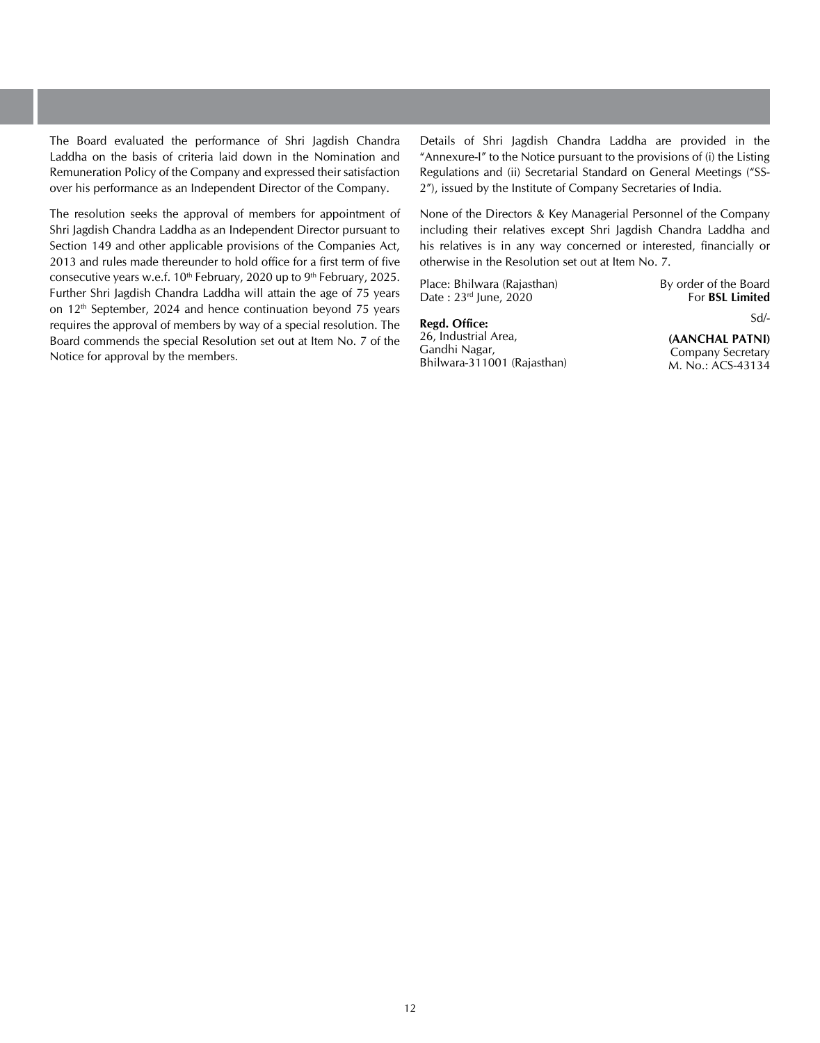The Board evaluated the performance of Shri Jagdish Chandra Laddha on the basis of criteria laid down in the Nomination and Remuneration Policy of the Company and expressed their satisfaction over his performance as an Independent Director of the Company.

The resolution seeks the approval of members for appointment of Shri Jagdish Chandra Laddha as an Independent Director pursuant to Section 149 and other applicable provisions of the Companies Act, 2013 and rules made thereunder to hold office for a first term of five consecutive years w.e.f.  $10^{th}$  February, 2020 up to  $9^{th}$  February, 2025. Further Shri Jagdish Chandra Laddha will attain the age of 75 years on 12<sup>th</sup> September, 2024 and hence continuation beyond 75 years requires the approval of members by way of a special resolution. The Board commends the special Resolution set out at Item No. 7 of the Notice for approval by the members.

Details of Shri Jagdish Chandra Laddha are provided in the "Annexure-I" to the Notice pursuant to the provisions of (i) the Listing Regulations and (ii) Secretarial Standard on General Meetings ("SS-2"), issued by the Institute of Company Secretaries of India.

None of the Directors & Key Managerial Personnel of the Company including their relatives except Shri Jagdish Chandra Laddha and his relatives is in any way concerned or interested, financially or otherwise in the Resolution set out at Item No. 7.

Place: Bhilwara (Rajasthan) Date : 23rd June, 2020

By order of the Board For **BSL Limited**

Sd/-

**Regd. Office:** 26, Industrial Area, Gandhi Nagar, Bhilwara-311001 (Rajasthan)

**(AANCHAL PATNI)** Company Secretary M. No.: ACS-43134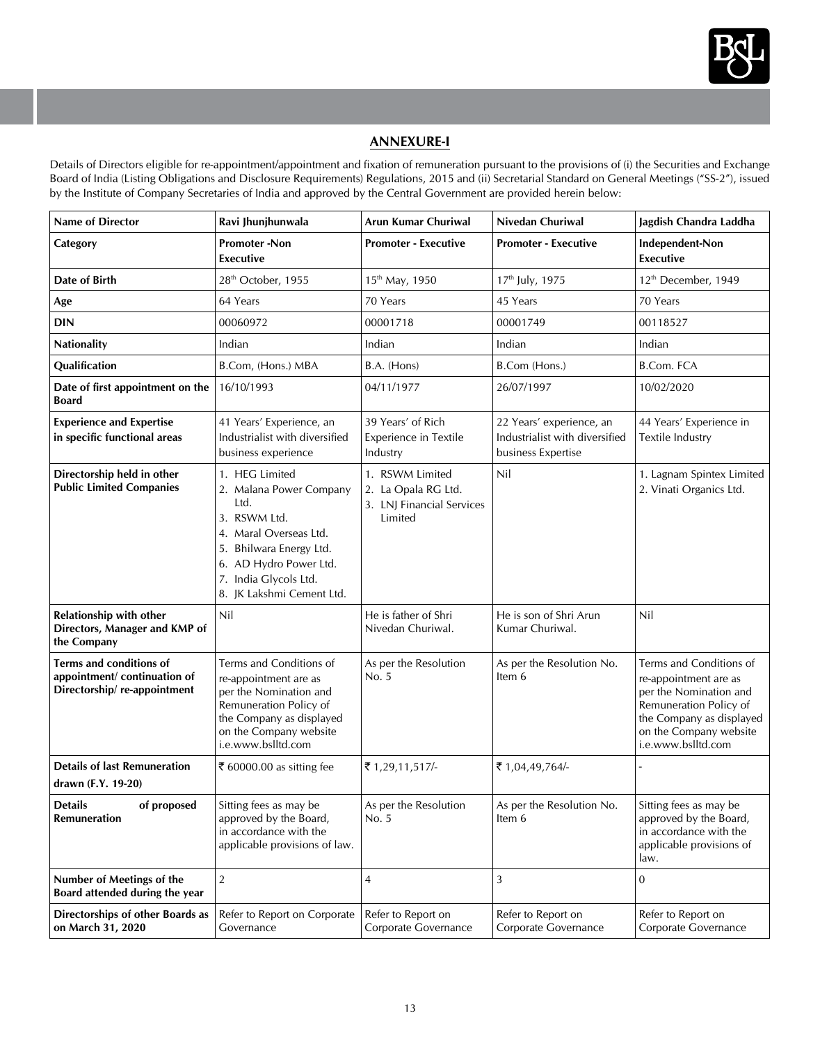

## **Annexure-I**

Details of Directors eligible for re-appointment/appointment and fixation of remuneration pursuant to the provisions of (i) the Securities and Exchange Board of India (Listing Obligations and Disclosure Requirements) Regulations, 2015 and (ii) Secretarial Standard on General Meetings ("SS-2"), issued by the Institute of Company Secretaries of India and approved by the Central Government are provided herein below:

| <b>Name of Director</b>                                                               | Ravi Jhunjhunwala                                                                                                                                                                                      | Arun Kumar Churiwal                                                            | Nivedan Churiwal                                                                 | Jagdish Chandra Laddha                                                                                                                                                           |  |
|---------------------------------------------------------------------------------------|--------------------------------------------------------------------------------------------------------------------------------------------------------------------------------------------------------|--------------------------------------------------------------------------------|----------------------------------------------------------------------------------|----------------------------------------------------------------------------------------------------------------------------------------------------------------------------------|--|
| Category                                                                              | <b>Promoter-Non</b><br><b>Executive</b>                                                                                                                                                                | <b>Promoter - Executive</b>                                                    | <b>Promoter - Executive</b>                                                      | Independent-Non<br>Executive                                                                                                                                                     |  |
| Date of Birth                                                                         | 28 <sup>th</sup> October, 1955                                                                                                                                                                         | 15 <sup>th</sup> May, 1950                                                     | 17 <sup>th</sup> July, 1975                                                      | 12 <sup>th</sup> December, 1949                                                                                                                                                  |  |
| Age                                                                                   | 64 Years                                                                                                                                                                                               | 70 Years                                                                       | 45 Years                                                                         | 70 Years                                                                                                                                                                         |  |
| <b>DIN</b>                                                                            | 00060972                                                                                                                                                                                               | 00001718                                                                       | 00001749                                                                         | 00118527                                                                                                                                                                         |  |
| <b>Nationality</b>                                                                    | Indian                                                                                                                                                                                                 | Indian                                                                         | Indian                                                                           | Indian                                                                                                                                                                           |  |
| <b>Qualification</b>                                                                  | B.Com, (Hons.) MBA                                                                                                                                                                                     | B.A. (Hons)                                                                    | B.Com (Hons.)                                                                    | B.Com. FCA                                                                                                                                                                       |  |
| Date of first appointment on the<br><b>Board</b>                                      | 16/10/1993                                                                                                                                                                                             | 04/11/1977                                                                     | 26/07/1997                                                                       | 10/02/2020                                                                                                                                                                       |  |
| <b>Experience and Expertise</b><br>in specific functional areas                       | 41 Years' Experience, an<br>Industrialist with diversified<br>business experience                                                                                                                      | 39 Years' of Rich<br><b>Experience in Textile</b><br>Industry                  | 22 Years' experience, an<br>Industrialist with diversified<br>business Expertise | 44 Years' Experience in<br>Textile Industry                                                                                                                                      |  |
| Directorship held in other<br><b>Public Limited Companies</b>                         | 1. HEG Limited<br>2. Malana Power Company<br>Ltd.<br>3. RSWM Ltd.<br>4. Maral Overseas Ltd.<br>5. Bhilwara Energy Ltd.<br>6. AD Hydro Power Ltd.<br>7. India Glycols Ltd.<br>8. JK Lakshmi Cement Ltd. | 1. RSWM Limited<br>2. La Opala RG Ltd.<br>3. LNJ Financial Services<br>Limited | Nil                                                                              | 1. Lagnam Spintex Limited<br>2. Vinati Organics Ltd.                                                                                                                             |  |
| <b>Relationship with other</b><br>Directors, Manager and KMP of<br>the Company        | Nil                                                                                                                                                                                                    | He is father of Shri<br>Nivedan Churiwal.                                      | He is son of Shri Arun<br>Kumar Churiwal.                                        | Nil                                                                                                                                                                              |  |
| Terms and conditions of<br>appointment/continuation of<br>Directorship/re-appointment | Terms and Conditions of<br>re-appointment are as<br>per the Nomination and<br>Remuneration Policy of<br>the Company as displayed<br>on the Company website<br>i.e.www.bslltd.com                       | As per the Resolution<br>No. 5                                                 | As per the Resolution No.<br>Item 6                                              | Terms and Conditions of<br>re-appointment are as<br>per the Nomination and<br>Remuneration Policy of<br>the Company as displayed<br>on the Company website<br>i.e.www.bslltd.com |  |
| <b>Details of last Remuneration</b><br>drawn (F.Y. 19-20)                             | ₹ 60000.00 as sitting fee                                                                                                                                                                              | ₹ 1,29,11,517/-                                                                | ₹ 1,04,49,764/-                                                                  |                                                                                                                                                                                  |  |
| <b>Details</b><br>of proposed<br>Remuneration                                         | Sitting fees as may be<br>approved by the Board,<br>in accordance with the<br>applicable provisions of law.                                                                                            | As per the Resolution<br>No. 5                                                 | As per the Resolution No.<br>Item 6                                              | Sitting fees as may be<br>approved by the Board,<br>in accordance with the<br>applicable provisions of<br>law.                                                                   |  |
| Number of Meetings of the<br>Board attended during the year                           | $\sqrt{2}$                                                                                                                                                                                             | 4                                                                              | 3                                                                                | $\mathbf{0}$                                                                                                                                                                     |  |
| Directorships of other Boards as<br>on March 31, 2020                                 | Refer to Report on Corporate<br>Governance                                                                                                                                                             | Refer to Report on<br>Corporate Governance                                     | Refer to Report on<br>Corporate Governance                                       | Refer to Report on<br>Corporate Governance                                                                                                                                       |  |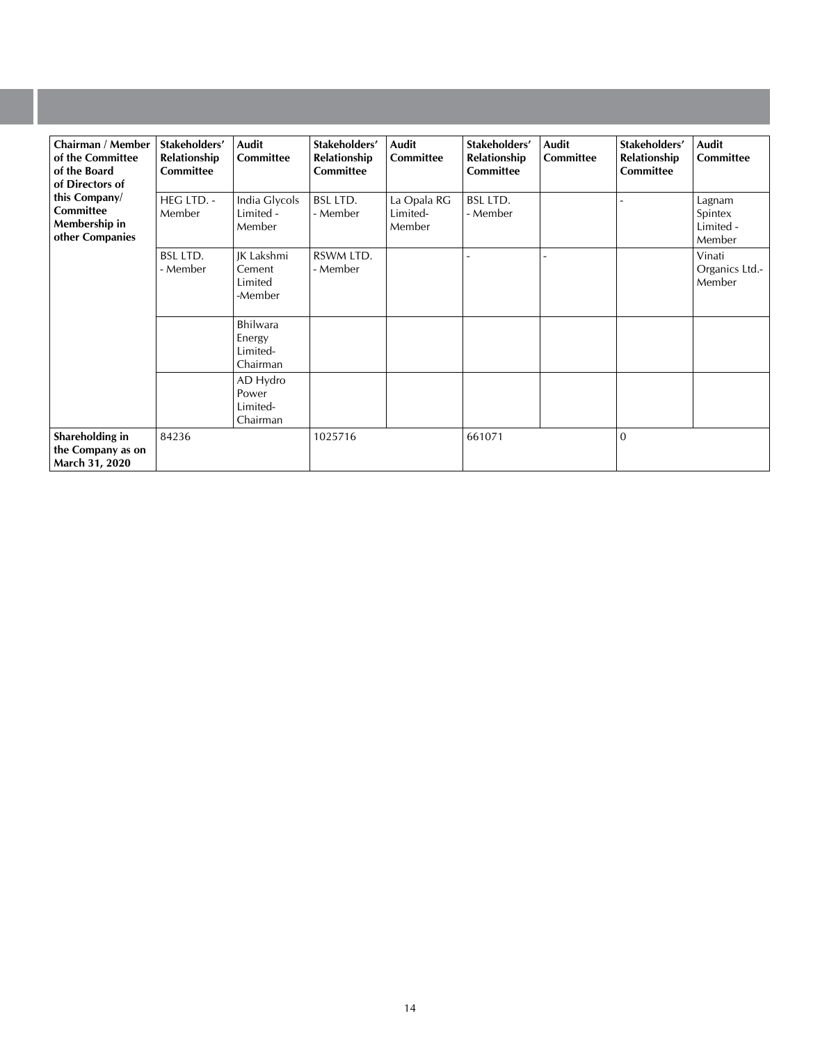| Chairman / Member<br>of the Committee<br>of the Board<br>of Directors of | Stakeholders'<br>Relationship<br>Committee | Audit<br>Committee                         | Stakeholders'<br>Relationship<br>Committee | Audit<br>Committee                | Stakeholders'<br>Relationship<br>Committee | Audit<br>Committee | Stakeholders'<br>Relationship<br>Committee | Audit<br>Committee                       |
|--------------------------------------------------------------------------|--------------------------------------------|--------------------------------------------|--------------------------------------------|-----------------------------------|--------------------------------------------|--------------------|--------------------------------------------|------------------------------------------|
| this Company/<br>Committee<br>Membership in<br>other Companies           | HEG LTD. -<br>Member                       | India Glycols<br>Limited -<br>Member       | <b>BSL LTD.</b><br>- Member                | La Opala RG<br>Limited-<br>Member | <b>BSL LTD.</b><br>- Member                |                    |                                            | Lagnam<br>Spintex<br>Limited -<br>Member |
|                                                                          | <b>BSL LTD.</b><br>- Member                | JK Lakshmi<br>Cement<br>Limited<br>-Member | RSWM LTD.<br>- Member                      |                                   |                                            |                    |                                            | Vinati<br>Organics Ltd.-<br>Member       |
|                                                                          |                                            | Bhilwara<br>Energy<br>Limited-<br>Chairman |                                            |                                   |                                            |                    |                                            |                                          |
|                                                                          |                                            | AD Hydro<br>Power<br>Limited-<br>Chairman  |                                            |                                   |                                            |                    |                                            |                                          |
| Shareholding in<br>the Company as on<br>March 31, 2020                   | 84236                                      |                                            | 1025716                                    |                                   | 661071                                     |                    | $\Omega$                                   |                                          |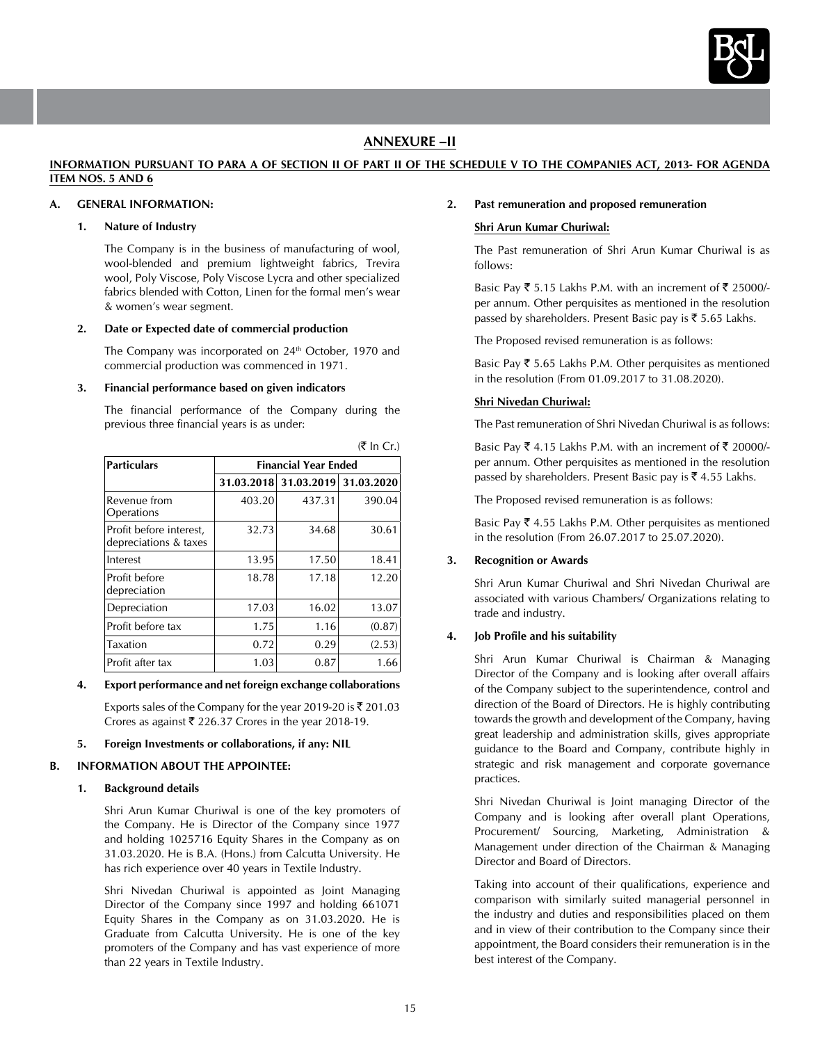

## **ANNEXURE –II**

## **INFORMATION PURSUANT TO PARA A OF SECTION II OF PART II OF THE SCHEDULE V TO THE COMPANIES ACT, 2013- FOR AGENDA ITEM NOS. 5 AND 6**

 $\sigma$   $\sigma$ 

#### **A. GENERAL INFORMATION:**

#### **1. Nature of Industry**

The Company is in the business of manufacturing of wool, wool-blended and premium lightweight fabrics, Trevira wool, Poly Viscose, Poly Viscose Lycra and other specialized fabrics blended with Cotton, Linen for the formal men's wear & women's wear segment.

#### **2. Date or Expected date of commercial production**

The Company was incorporated on 24<sup>th</sup> October, 1970 and commercial production was commenced in 1971.

#### **3. Financial performance based on given indicators**

 The financial performance of the Company during the previous three financial years is as under:

| <b>Particulars</b>                               | <b>Financial Year Ended</b> |                                  |        |  |  |
|--------------------------------------------------|-----------------------------|----------------------------------|--------|--|--|
|                                                  |                             | 31.03.2018 31.03.2019 31.03.2020 |        |  |  |
| Revenue from<br>Operations                       | 403.20                      | 437.31                           | 390.04 |  |  |
| Profit before interest,<br>depreciations & taxes | 32.73                       | 34.68                            | 30.61  |  |  |
| Interest                                         | 13.95                       | 17.50                            | 18.41  |  |  |
| Profit before<br>depreciation                    | 18.78                       | 17.18                            | 12.20  |  |  |
| Depreciation                                     | 17.03                       | 16.02                            | 13.07  |  |  |
| Profit before tax                                | 1.75                        | 1.16                             | (0.87) |  |  |
| Taxation                                         | 0.72                        | 0.29                             | (2.53) |  |  |
| Profit after tax                                 | 1.03                        | 0.87                             | 1.66   |  |  |

#### **4. Export performance and net foreign exchange collaborations**

Exports sales of the Company for the year 2019-20 is  $\bar{\tau}$  201.03 Crores as against  $\overline{\xi}$  226.37 Crores in the year 2018-19.

#### **5. Foreign Investments or collaborations, if any: NIL**

## **B. INFORMATION ABOUT THE APPOINTEE:**

## **1. Background details**

Shri Arun Kumar Churiwal is one of the key promoters of the Company. He is Director of the Company since 1977 and holding 1025716 Equity Shares in the Company as on 31.03.2020. He is B.A. (Hons.) from Calcutta University. He has rich experience over 40 years in Textile Industry.

Shri Nivedan Churiwal is appointed as Joint Managing Director of the Company since 1997 and holding 661071 Equity Shares in the Company as on 31.03.2020. He is Graduate from Calcutta University. He is one of the key promoters of the Company and has vast experience of more than 22 years in Textile Industry.

## **2. Past remuneration and proposed remuneration**

## **Shri Arun Kumar Churiwal:**

The Past remuneration of Shri Arun Kumar Churiwal is as follows:

Basic Pay  $\bar{\tau}$  5.15 Lakhs P.M. with an increment of  $\bar{\tau}$  25000/per annum. Other perquisites as mentioned in the resolution passed by shareholders. Present Basic pay is  $\overline{5}$  5.65 Lakhs.

The Proposed revised remuneration is as follows:

Basic Pay  $\bar{\tau}$  5.65 Lakhs P.M. Other perquisites as mentioned in the resolution (From 01.09.2017 to 31.08.2020).

#### **Shri Nivedan Churiwal:**

The Past remuneration of Shri Nivedan Churiwal is as follows:

Basic Pay  $\bar{\tau}$  4.15 Lakhs P.M. with an increment of  $\bar{\tau}$  20000/per annum. Other perquisites as mentioned in the resolution passed by shareholders. Present Basic pay is  $\bar{\tau}$  4.55 Lakhs.

The Proposed revised remuneration is as follows:

Basic Pay  $\bar{\tau}$  4.55 Lakhs P.M. Other perquisites as mentioned in the resolution (From 26.07.2017 to 25.07.2020).

## **3. Recognition or Awards**

Shri Arun Kumar Churiwal and Shri Nivedan Churiwal are associated with various Chambers/ Organizations relating to trade and industry.

## **4. Job Profile and his suitability**

Shri Arun Kumar Churiwal is Chairman & Managing Director of the Company and is looking after overall affairs of the Company subject to the superintendence, control and direction of the Board of Directors. He is highly contributing towards the growth and development of the Company, having great leadership and administration skills, gives appropriate guidance to the Board and Company, contribute highly in strategic and risk management and corporate governance practices.

Shri Nivedan Churiwal is Joint managing Director of the Company and is looking after overall plant Operations, Procurement/ Sourcing, Marketing, Administration & Management under direction of the Chairman & Managing Director and Board of Directors.

 Taking into account of their qualifications, experience and comparison with similarly suited managerial personnel in the industry and duties and responsibilities placed on them and in view of their contribution to the Company since their appointment, the Board considers their remuneration is in the best interest of the Company.